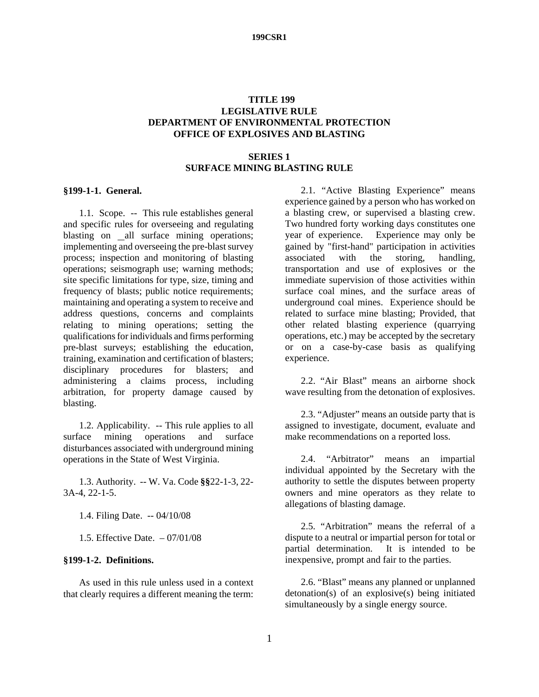#### **TITLE 199 LEGISLATIVE RULE DEPARTMENT OF ENVIRONMENTAL PROTECTION OFFICE OF EXPLOSIVES AND BLASTING**

#### **SERIES 1 SURFACE MINING BLASTING RULE**

#### **§199-1-1. General.**

1.1. Scope. -- This rule establishes general and specific rules for overseeing and regulating blasting on all surface mining operations; implementing and overseeing the pre-blast survey process; inspection and monitoring of blasting operations; seismograph use; warning methods; site specific limitations for type, size, timing and frequency of blasts; public notice requirements; maintaining and operating a system to receive and address questions, concerns and complaints relating to mining operations; setting the qualifications for individuals and firms performing pre-blast surveys; establishing the education, training, examination and certification of blasters; disciplinary procedures for blasters; and administering a claims process, including arbitration, for property damage caused by blasting.

1.2. Applicability. -- This rule applies to all surface mining operations and surface disturbances associated with underground mining operations in the State of West Virginia.

1.3. Authority. -- W. Va. Code **§§**22-1-3, 22- 3A-4, 22-1-5.

- 1.4. Filing Date. -- 04/10/08
- 1.5. Effective Date. 07/01/08

#### **§199-1-2. Definitions.**

As used in this rule unless used in a context that clearly requires a different meaning the term:

2.1. "Active Blasting Experience" means experience gained by a person who has worked on a blasting crew, or supervised a blasting crew. Two hundred forty working days constitutes one year of experience. Experience may only be gained by "first-hand" participation in activities associated with the storing, handling, transportation and use of explosives or the immediate supervision of those activities within surface coal mines, and the surface areas of underground coal mines. Experience should be related to surface mine blasting; Provided, that other related blasting experience (quarrying operations, etc.) may be accepted by the secretary or on a case-by-case basis as qualifying experience.

2.2. "Air Blast" means an airborne shock wave resulting from the detonation of explosives.

2.3. "Adjuster" means an outside party that is assigned to investigate, document, evaluate and make recommendations on a reported loss.

2.4. "Arbitrator" means an impartial individual appointed by the Secretary with the authority to settle the disputes between property owners and mine operators as they relate to allegations of blasting damage.

2.5. "Arbitration" means the referral of a dispute to a neutral or impartial person for total or partial determination. It is intended to be inexpensive, prompt and fair to the parties.

 2.6. "Blast" means any planned or unplanned detonation(s) of an explosive(s) being initiated simultaneously by a single energy source.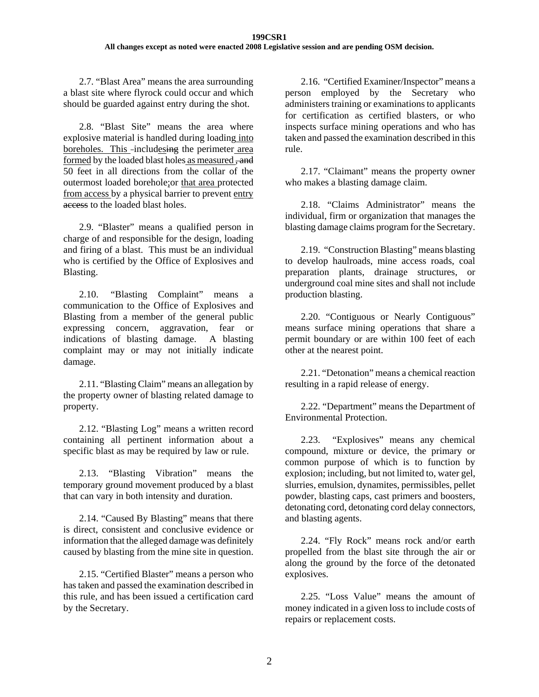2.7. "Blast Area" means the area surrounding a blast site where flyrock could occur and which should be guarded against entry during the shot.

2.8. "Blast Site" means the area where explosive material is handled during loading into boreholes. This -includesing the perimeter area formed by the loaded blast holes as measured , and 50 feet in all directions from the collar of the outermost loaded borehole;or that area protected from access by a physical barrier to prevent entry access to the loaded blast holes.

2.9. "Blaster" means a qualified person in charge of and responsible for the design, loading and firing of a blast. This must be an individual who is certified by the Office of Explosives and Blasting.

2.10. "Blasting Complaint" means a communication to the Office of Explosives and Blasting from a member of the general public expressing concern, aggravation, fear or indications of blasting damage. A blasting complaint may or may not initially indicate damage.

2.11. "Blasting Claim" means an allegation by the property owner of blasting related damage to property.

2.12. "Blasting Log" means a written record containing all pertinent information about a specific blast as may be required by law or rule.

2.13. "Blasting Vibration" means the temporary ground movement produced by a blast that can vary in both intensity and duration.

2.14. "Caused By Blasting" means that there is direct, consistent and conclusive evidence or information that the alleged damage was definitely caused by blasting from the mine site in question.

2.15. "Certified Blaster" means a person who has taken and passed the examination described in this rule, and has been issued a certification card by the Secretary.

2.16. "Certified Examiner/Inspector" means a person employed by the Secretary who administers training or examinations to applicants for certification as certified blasters, or who inspects surface mining operations and who has taken and passed the examination described in this rule.

2.17. "Claimant" means the property owner who makes a blasting damage claim.

2.18. "Claims Administrator" means the individual, firm or organization that manages the blasting damage claims program for the Secretary.

2.19. "Construction Blasting" means blasting to develop haulroads, mine access roads, coal preparation plants, drainage structures, or underground coal mine sites and shall not include production blasting.

2.20. "Contiguous or Nearly Contiguous" means surface mining operations that share a permit boundary or are within 100 feet of each other at the nearest point.

2.21. "Detonation" means a chemical reaction resulting in a rapid release of energy.

2.22. "Department" means the Department of Environmental Protection.

2.23. "Explosives" means any chemical compound, mixture or device, the primary or common purpose of which is to function by explosion; including, but not limited to, water gel, slurries, emulsion, dynamites, permissibles, pellet powder, blasting caps, cast primers and boosters, detonating cord, detonating cord delay connectors, and blasting agents.

2.24. "Fly Rock" means rock and/or earth propelled from the blast site through the air or along the ground by the force of the detonated explosives.

2.25. "Loss Value" means the amount of money indicated in a given loss to include costs of repairs or replacement costs.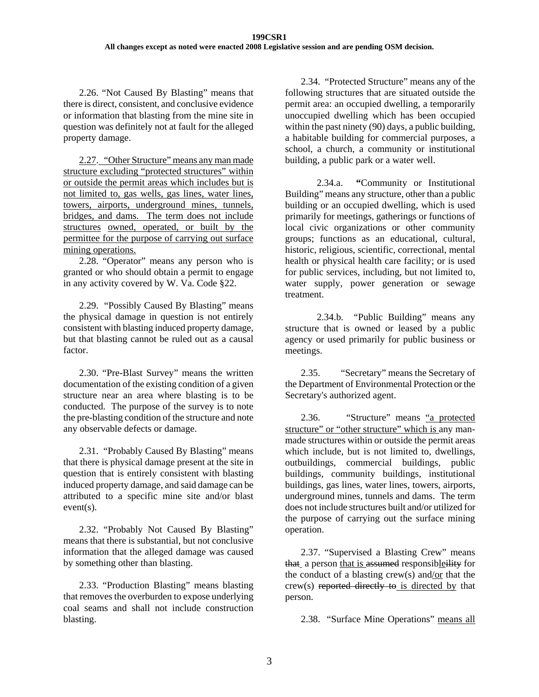2.26. "Not Caused By Blasting" means that there is direct, consistent, and conclusive evidence or information that blasting from the mine site in question was definitely not at fault for the alleged property damage.

2.27. "Other Structure" means any man made structure excluding "protected structures" within or outside the permit areas which includes but is not limited to, gas wells, gas lines, water lines, towers, airports, underground mines, tunnels, bridges, and dams. The term does not include structures owned, operated, or built by the permittee for the purpose of carrying out surface mining operations.

2.28. "Operator" means any person who is granted or who should obtain a permit to engage in any activity covered by W. Va. Code §22.

2.29. "Possibly Caused By Blasting" means the physical damage in question is not entirely consistent with blasting induced property damage, but that blasting cannot be ruled out as a causal factor.

2.30. "Pre-Blast Survey" means the written documentation of the existing condition of a given structure near an area where blasting is to be conducted. The purpose of the survey is to note the pre-blasting condition of the structure and note any observable defects or damage.

2.31. "Probably Caused By Blasting" means that there is physical damage present at the site in question that is entirely consistent with blasting induced property damage, and said damage can be attributed to a specific mine site and/or blast event(s).

2.32. "Probably Not Caused By Blasting" means that there is substantial, but not conclusive information that the alleged damage was caused by something other than blasting.

2.33. "Production Blasting" means blasting that removes the overburden to expose underlying coal seams and shall not include construction blasting.

2.34. "Protected Structure" means any of the following structures that are situated outside the permit area: an occupied dwelling, a temporarily unoccupied dwelling which has been occupied within the past ninety (90) days, a public building, a habitable building for commercial purposes, a school, a church, a community or institutional building, a public park or a water well.

2.34.a. **"**Community or Institutional Building" means any structure, other than a public building or an occupied dwelling, which is used primarily for meetings, gatherings or functions of local civic organizations or other community groups; functions as an educational, cultural, historic, religious, scientific, correctional, mental health or physical health care facility; or is used for public services, including, but not limited to, water supply, power generation or sewage treatment.

2.34.b. "Public Building" means any structure that is owned or leased by a public agency or used primarily for public business or meetings.

2.35. "Secretary" means the Secretary of the Department of Environmental Protection or the Secretary's authorized agent.

2.36. "Structure" means "a protected structure" or "other structure" which is any manmade structures within or outside the permit areas which include, but is not limited to, dwellings, outbuildings, commercial buildings, public buildings, community buildings, institutional buildings, gas lines, water lines, towers, airports, underground mines, tunnels and dams. The term does not include structures built and/or utilized for the purpose of carrying out the surface mining operation.

2.37. "Supervised a Blasting Crew" means that a person that is assumed responsibleility for the conduct of a blasting crew(s) and/or that the crew(s) reported directly to is directed by that person.

2.38. "Surface Mine Operations" means all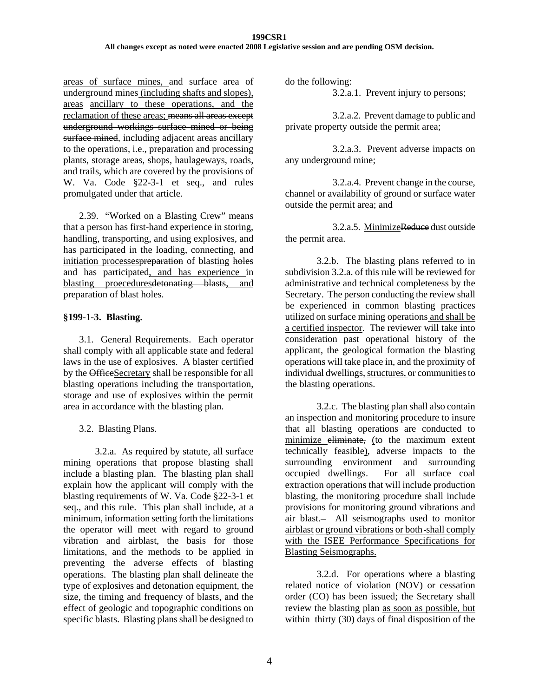areas of surface mines, and surface area of underground mines (including shafts and slopes), areas ancillary to these operations, and the reclamation of these areas; means all areas except underground workings surface mined or being surface mined, including adjacent areas ancillary to the operations, i.e., preparation and processing plants, storage areas, shops, haulageways, roads, and trails, which are covered by the provisions of W. Va. Code §22-3-1 et seq., and rules promulgated under that article.

2.39. "Worked on a Blasting Crew" means that a person has first-hand experience in storing, handling, transporting, and using explosives, and has participated in the loading, connecting, and initiation processes<del>preparation</del> of blasting holes and has participated, and has experience in blasting proecedures<del>detonating blasts</del>, and preparation of blast holes.

### **§199-1-3. Blasting.**

3.1. General Requirements. Each operator shall comply with all applicable state and federal laws in the use of explosives. A blaster certified by the OfficeSecretary shall be responsible for all blasting operations including the transportation, storage and use of explosives within the permit area in accordance with the blasting plan.

3.2. Blasting Plans.

3.2.a. As required by statute, all surface mining operations that propose blasting shall include a blasting plan. The blasting plan shall explain how the applicant will comply with the blasting requirements of W. Va. Code §22-3-1 et seq., and this rule. This plan shall include, at a minimum, information setting forth the limitations the operator will meet with regard to ground vibration and airblast, the basis for those limitations, and the methods to be applied in preventing the adverse effects of blasting operations. The blasting plan shall delineate the type of explosives and detonation equipment, the size, the timing and frequency of blasts, and the effect of geologic and topographic conditions on specific blasts. Blasting plans shall be designed to

do the following:

3.2.a.1. Prevent injury to persons;

3.2.a.2. Prevent damage to public and private property outside the permit area;

3.2.a.3. Prevent adverse impacts on any underground mine;

3.2.a.4. Prevent change in the course, channel or availability of ground or surface water outside the permit area; and

3.2.a.5. MinimizeReduce dust outside the permit area.

3.2.b. The blasting plans referred to in subdivision 3.2.a. of this rule will be reviewed for administrative and technical completeness by the Secretary. The person conducting the review shall be experienced in common blasting practices utilized on surface mining operations and shall be a certified inspector. The reviewer will take into consideration past operational history of the applicant, the geological formation the blasting operations will take place in, and the proximity of individual dwellings, structures, or communities to the blasting operations.

 3.2.c. The blasting plan shall also contain an inspection and monitoring procedure to insure that all blasting operations are conducted to minimize eliminate, (to the maximum extent technically feasible), adverse impacts to the surrounding environment and surrounding occupied dwellings. For all surface coal extraction operations that will include production blasting, the monitoring procedure shall include provisions for monitoring ground vibrations and air blast. All seismographs used to monitor airblast or ground vibrations or both shall comply with the ISEE Performance Specifications for Blasting Seismographs.

3.2.d. For operations where a blasting related notice of violation (NOV) or cessation order (CO) has been issued; the Secretary shall review the blasting plan as soon as possible, but within thirty (30) days of final disposition of the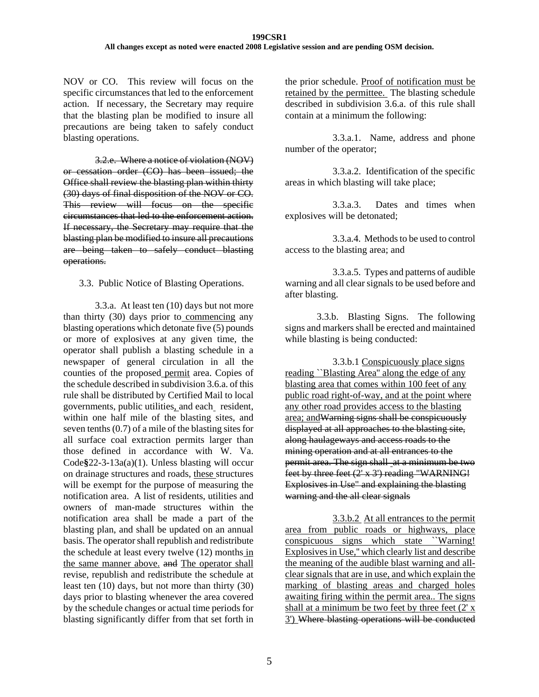NOV or CO. This review will focus on the specific circumstances that led to the enforcement action. If necessary, the Secretary may require that the blasting plan be modified to insure all precautions are being taken to safely conduct blasting operations.

3.2.e. Where a notice of violation (NOV) or cessation order (CO) has been issued; the Office shall review the blasting plan within thirty (30) days of final disposition of the NOV or CO. This review will focus on the specific circumstances that led to the enforcement action. If necessary, the Secretary may require that the blasting plan be modified to insure all precautions are being taken to safely conduct blasting operations.

3.3. Public Notice of Blasting Operations.

3.3.a. At least ten (10) days but not more than thirty (30) days prior to commencing any blasting operations which detonate five (5) pounds or more of explosives at any given time, the operator shall publish a blasting schedule in a newspaper of general circulation in all the counties of the proposed permit area. Copies of the schedule described in subdivision 3.6.a. of this rule shall be distributed by Certified Mail to local governments, public utilities, and each resident, within one half mile of the blasting sites, and seven tenths (0.7) of a mile of the blasting sites for all surface coal extraction permits larger than those defined in accordance with W. Va. Code**§**22-3-13a(a)(1). Unless blasting will occur on drainage structures and roads, these structures will be exempt for the purpose of measuring the notification area. A list of residents, utilities and owners of man-made structures within the notification area shall be made a part of the blasting plan, and shall be updated on an annual basis. The operator shall republish and redistribute the schedule at least every twelve (12) months in the same manner above. and The operator shall revise, republish and redistribute the schedule at least ten (10) days, but not more than thirty (30) days prior to blasting whenever the area covered by the schedule changes or actual time periods for blasting significantly differ from that set forth in

the prior schedule. Proof of notification must be retained by the permittee. The blasting schedule described in subdivision 3.6.a. of this rule shall contain at a minimum the following:

3.3.a.1. Name, address and phone number of the operator;

3.3.a.2. Identification of the specific areas in which blasting will take place;

3.3.a.3. Dates and times when explosives will be detonated;

3.3.a.4. Methods to be used to control access to the blasting area; and

3.3.a.5. Types and patterns of audible warning and all clear signals to be used before and after blasting.

3.3.b.Blasting Signs. The following signs and markers shall be erected and maintained while blasting is being conducted:

 3.3.b.1 Conspicuously place signs reading *`*Blasting Area'' along the edge of any blasting area that comes within 100 feet of any public road right-of-way, and at the point where any other road provides access to the blasting area; andWarning signs shall be conspicuously displayed at all approaches to the blasting site, along haulageways and access roads to the mining operation and at all entrances to the permit area. The sign shall at a minimum be two feet by three feet (2' x 3') reading "WARNING! Explosives in Use" and explaining the blasting warning and the all clear signals

 3.3.b.2 At all entrances to the permit area from public roads or highways, place conspicuous signs which state ``Warning! Explosives in Use,'' which clearly list and describe the meaning of the audible blast warning and allclear signals that are in use, and which explain the marking of blasting areas and charged holes awaiting firing within the permit area.. The signs shall at a minimum be two feet by three feet  $(2' x)$ 3') Where blasting operations will be conducted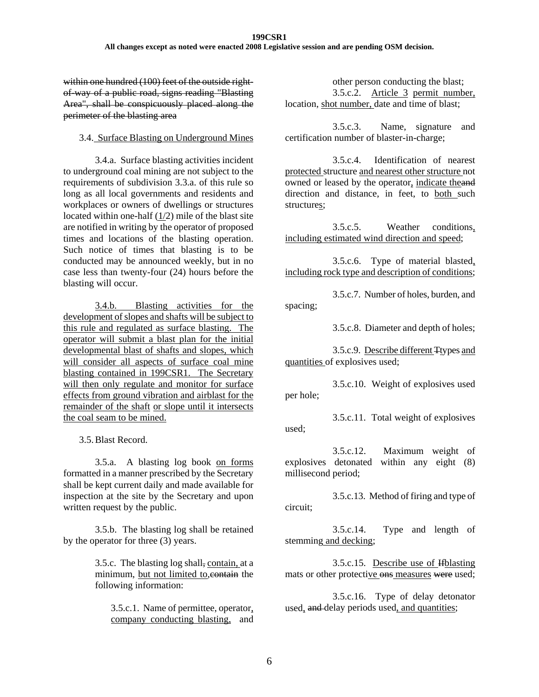#### **199CSR1 All changes except as noted were enacted 2008 Legislative session and are pending OSM decision.**

within one hundred (100) feet of the outside rightof-way of a public road, signs reading "Blasting Area", shall be conspicuously placed along the perimeter of the blasting area

#### 3.4. Surface Blasting on Underground Mines

 3.4.a. Surface blasting activities incident to underground coal mining are not subject to the requirements of subdivision 3.3.a. of this rule so long as all local governments and residents and workplaces or owners of dwellings or structures located within one-half (1/2) mile of the blast site are notified in writing by the operator of proposed times and locations of the blasting operation. Such notice of times that blasting is to be conducted may be announced weekly, but in no case less than twenty-four (24) hours before the blasting will occur.

 3.4.b. Blasting activities for the development of slopes and shafts will be subject to this rule and regulated as surface blasting. The operator will submit a blast plan for the initial developmental blast of shafts and slopes, which will consider all aspects of surface coal mine blasting contained in 199CSR1. The Secretary will then only regulate and monitor for surface effects from ground vibration and airblast for the remainder of the shaft or slope until it intersects the coal seam to be mined.

3.5.Blast Record.

3.5.a. A blasting log book on forms formatted in a manner prescribed by the Secretary shall be kept current daily and made available for inspection at the site by the Secretary and upon written request by the public.

3.5.b. The blasting log shall be retained by the operator for three (3) years.

> 3.5.c. The blasting log shall, contain, at a minimum, but not limited to, contain the following information:

3.5.c.1. Name of permittee, operator, company conducting blasting, and

other person conducting the blast; 3.5.c.2. Article 3 permit number, location, shot number, date and time of blast;

3.5.c.3. Name, signature and certification number of blaster-in-charge;

 3.5.c.4. Identification of nearest protected structure and nearest other structure not owned or leased by the operator, indicate theand direction and distance, in feet, to **both** such structures;

3.5.c.5. Weather conditions, including estimated wind direction and speed;

3.5.c.6. Type of material blasted, including rock type and description of conditions;

3.5.c.7. Number of holes, burden, and spacing;

3.5.c.8. Diameter and depth of holes;

3.5.c.9. Describe different Ttypes and quantities of explosives used;

3.5.c.10. Weight of explosives used per hole;

3.5.c.11. Total weight of explosives used;

3.5.c.12. Maximum weight of explosives detonated within any eight (8) millisecond period;

3.5.c.13. Method of firing and type of circuit;

3.5.c.14. Type and length of stemming and decking;

3.5.c.15. Describe use of Ifblasting mats or other protective ons measures were used;

3.5.c.16. Type of delay detonator used, and delay periods used, and quantities;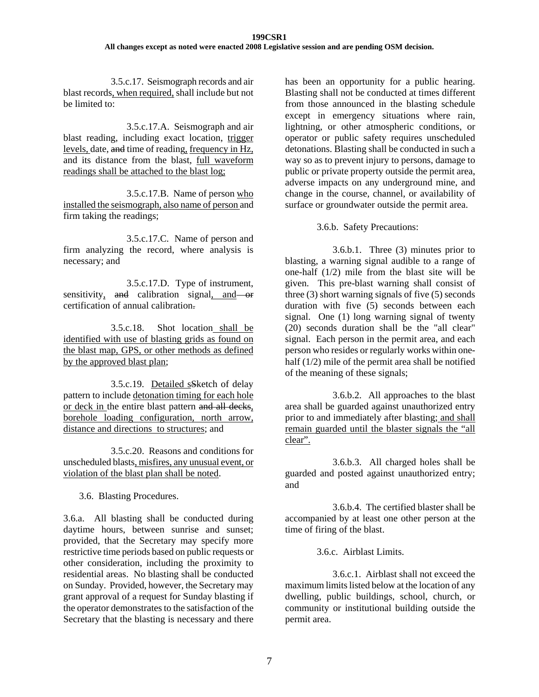3.5.c.17. Seismograph records and air blast records, when required, shall include but not be limited to:

3.5.c.17.A. Seismograph and air blast reading, including exact location, trigger levels, date, and time of reading, frequency in Hz, and its distance from the blast, full waveform readings shall be attached to the blast log;

 3.5.c.17.B. Name of person who installed the seismograph, also name of person and firm taking the readings;

 3.5.c.17.C. Name of person and firm analyzing the record, where analysis is necessary; and

3.5.c.17.D. Type of instrument, sensitivity, and calibration signal, and or certification of annual calibration.

3.5.c.18. Shot location shall be identified with use of blasting grids as found on the blast map, GPS, or other methods as defined by the approved blast plan;

3.5.c.19. Detailed sSketch of delay pattern to include detonation timing for each hole or deck in the entire blast pattern and all decks, borehole loading configuration, north arrow, distance and directions to structures; and

3.5.c.20. Reasons and conditions for unscheduled blasts, misfires, any unusual event, or violation of the blast plan shall be noted.

3.6. Blasting Procedures.

3.6.a. All blasting shall be conducted during daytime hours, between sunrise and sunset; provided, that the Secretary may specify more restrictive time periods based on public requests or other consideration, including the proximity to residential areas. No blasting shall be conducted on Sunday. Provided, however, the Secretary may grant approval of a request for Sunday blasting if the operator demonstrates to the satisfaction of the Secretary that the blasting is necessary and there has been an opportunity for a public hearing. Blasting shall not be conducted at times different from those announced in the blasting schedule except in emergency situations where rain, lightning, or other atmospheric conditions, or operator or public safety requires unscheduled detonations. Blasting shall be conducted in such a way so as to prevent injury to persons, damage to public or private property outside the permit area, adverse impacts on any underground mine, and change in the course, channel, or availability of surface or groundwater outside the permit area.

3.6.b. Safety Precautions:

3.6.b.1. Three (3) minutes prior to blasting, a warning signal audible to a range of one-half (1/2) mile from the blast site will be given. This pre-blast warning shall consist of three (3) short warning signals of five (5) seconds duration with five (5) seconds between each signal. One (1) long warning signal of twenty (20) seconds duration shall be the "all clear" signal. Each person in the permit area, and each person who resides or regularly works within onehalf (1/2) mile of the permit area shall be notified of the meaning of these signals;

3.6.b.2. All approaches to the blast area shall be guarded against unauthorized entry prior to and immediately after blasting; and shall remain guarded until the blaster signals the "all clear".

3.6.b.3. All charged holes shall be guarded and posted against unauthorized entry; and

 3.6.b.4. The certified blaster shall be accompanied by at least one other person at the time of firing of the blast.

3.6.c. Airblast Limits.

3.6.c.1. Airblast shall not exceed the maximum limits listed below at the location of any dwelling, public buildings, school, church, or community or institutional building outside the permit area.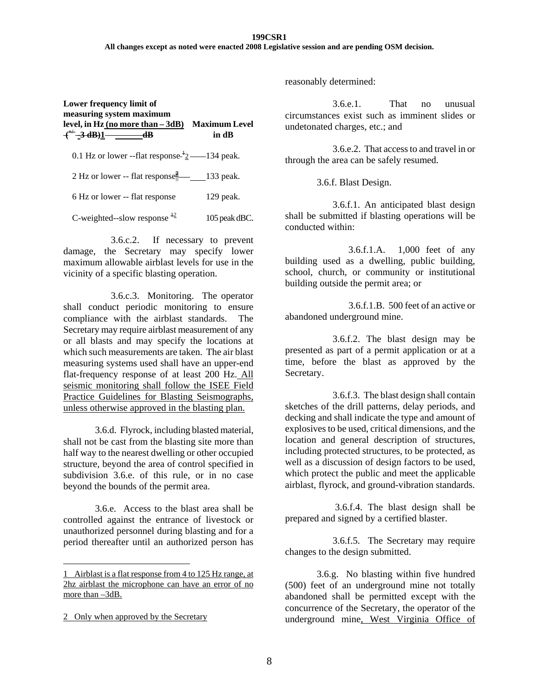#### **199CSR1**

**All changes except as noted were enacted 2008 Legislative session and are pending OSM decision.** 

| Lower frequency limit of<br>measuring system maximum<br>level, in Hz (no more than – 3dB)<br>$+$ <sup>++</sup> $-$ 3 dB)1 $-$ dB | <b>Maximum Level</b><br>in dB |
|----------------------------------------------------------------------------------------------------------------------------------|-------------------------------|
| 0.1 Hz or lower --flat response $\frac{1}{2}$ --134 peak.                                                                        |                               |
| 2 Hz or lower -- flat response $\frac{2}{3}$ = 133 peak.                                                                         |                               |
| 6 Hz or lower -- flat response                                                                                                   | $129$ peak.                   |
| C-weighted--slow response $^{12}$                                                                                                | 105 peak dBC.                 |

3.6.c.2. If necessary to prevent damage, the Secretary may specify lower maximum allowable airblast levels for use in the vicinity of a specific blasting operation.

3.6.c.3. Monitoring. The operator shall conduct periodic monitoring to ensure compliance with the airblast standards. The Secretary may require airblast measurement of any or all blasts and may specify the locations at which such measurements are taken. The air blast measuring systems used shall have an upper-end flat-frequency response of at least 200 Hz. All seismic monitoring shall follow the ISEE Field Practice Guidelines for Blasting Seismographs, unless otherwise approved in the blasting plan.

3.6.d. Flyrock, including blasted material, shall not be cast from the blasting site more than half way to the nearest dwelling or other occupied structure, beyond the area of control specified in subdivision 3.6.e. of this rule, or in no case beyond the bounds of the permit area.

3.6.e. Access to the blast area shall be controlled against the entrance of livestock or unauthorized personnel during blasting and for a period thereafter until an authorized person has

 $\overline{a}$ 

reasonably determined:

3.6.e.1. That no unusual circumstances exist such as imminent slides or undetonated charges, etc.; and

3.6.e.2. That access to and travel in or through the area can be safely resumed.

3.6.f. Blast Design.

3.6.f.1. An anticipated blast design shall be submitted if blasting operations will be conducted within:

 3.6.f.1.A. 1,000 feet of any building used as a dwelling, public building, school, church, or community or institutional building outside the permit area; or

3.6.f.1.B. 500 feet of an active or abandoned underground mine.

3.6.f.2. The blast design may be presented as part of a permit application or at a time, before the blast as approved by the Secretary.

3.6.f.3. The blast design shall contain sketches of the drill patterns, delay periods, and decking and shall indicate the type and amount of explosives to be used, critical dimensions, and the location and general description of structures, including protected structures, to be protected, as well as a discussion of design factors to be used, which protect the public and meet the applicable airblast, flyrock, and ground-vibration standards.

 3.6.f.4. The blast design shall be prepared and signed by a certified blaster.

3.6.f.5. The Secretary may require changes to the design submitted.

3.6.g. No blasting within five hundred (500) feet of an underground mine not totally abandoned shall be permitted except with the concurrence of the Secretary, the operator of the underground mine, West Virginia Office of

<sup>1</sup> Airblast is a flat response from 4 to 125 Hz range, at 2hz airblast the microphone can have an error of no more than –3dB.

<sup>2</sup> Only when approved by the Secretary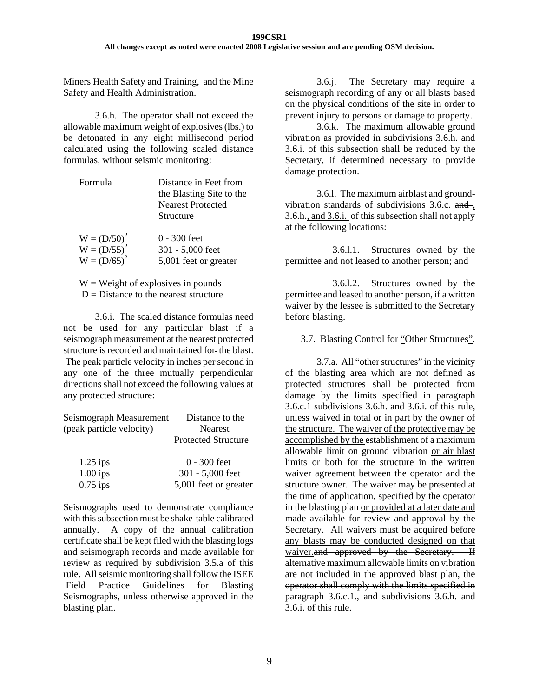#### **199CSR1 All changes except as noted were enacted 2008 Legislative session and are pending OSM decision.**

Miners Health Safety and Training, and the Mine Safety and Health Administration.

3.6.h. The operator shall not exceed the allowable maximum weight of explosives (lbs.) to be detonated in any eight millisecond period calculated using the following scaled distance formulas, without seismic monitoring:

| <b>Formula</b> | Distance in Feet from<br>the Blasting Site to the<br><b>Nearest Protected</b><br>Structure |
|----------------|--------------------------------------------------------------------------------------------|
| $W = (D/50)^2$ | $0 - 300$ feet                                                                             |
| $W = (D/55)^2$ | 301 - 5,000 feet                                                                           |
| $W = (D/65)^2$ | 5,001 feet or greater                                                                      |

 $W = Weight of explosives in pounds$  $D = Distance to the nearest structure$ 

3.6.i. The scaled distance formulas need not be used for any particular blast if a seismograph measurement at the nearest protected structure is recorded and maintained for the blast. The peak particle velocity in inches per second in any one of the three mutually perpendicular directions shall not exceed the following values at any protected structure:

| Seismograph Measurement  | Distance to the            |
|--------------------------|----------------------------|
| (peak particle velocity) | <b>Nearest</b>             |
|                          | <b>Protected Structure</b> |
| $1.25$ ips               | $0 - 300$ feet             |
| $1.00$ ips               | 301 - 5,000 feet           |
| $0.75$ ips               | 5,001 feet or greater      |

Seismographs used to demonstrate compliance with this subsection must be shake-table calibrated annually. A copy of the annual calibration certificate shall be kept filed with the blasting logs and seismograph records and made available for review as required by subdivision 3.5.a of this rule. All seismic monitoring shall follow the ISEE Field Practice Guidelines for Blasting Seismographs, unless otherwise approved in the blasting plan.

3.6.j. The Secretary may require a seismograph recording of any or all blasts based on the physical conditions of the site in order to prevent injury to persons or damage to property.

3.6.k. The maximum allowable ground vibration as provided in subdivisions 3.6.h. and 3.6.i. of this subsection shall be reduced by the Secretary, if determined necessary to provide damage protection.

3.6.l. The maximum airblast and groundvibration standards of subdivisions 3.6.c. and , 3.6.h., and 3.6.i. of this subsection shall not apply at the following locations:

3.6.l.1. Structures owned by the permittee and not leased to another person; and

3.6.l.2. Structures owned by the permittee and leased to another person, if a written waiver by the lessee is submitted to the Secretary before blasting.

3.7. Blasting Control for "Other Structures".

3.7.a. All "other structures" in the vicinity of the blasting area which are not defined as protected structures shall be protected from damage by the limits specified in paragraph 3.6.c.1 subdivisions 3.6.h. and 3.6.i. of this rule, unless waived in total or in part by the owner of the structure. The waiver of the protective may be accomplished by the establishment of a maximum allowable limit on ground vibration or air blast limits or both for the structure in the written waiver agreement between the operator and the structure owner. The waiver may be presented at the time of application, specified by the operator in the blasting plan or provided at a later date and made available for review and approval by the Secretary. All waivers must be acquired before any blasts may be conducted designed on that waiver.and approved by the Secretary. If alternative maximum allowable limits on vibration are not included in the approved blast plan, the operator shall comply with the limits specified in paragraph 3.6.c.1., and subdivisions 3.6.h. and 3.6.i. of this rule.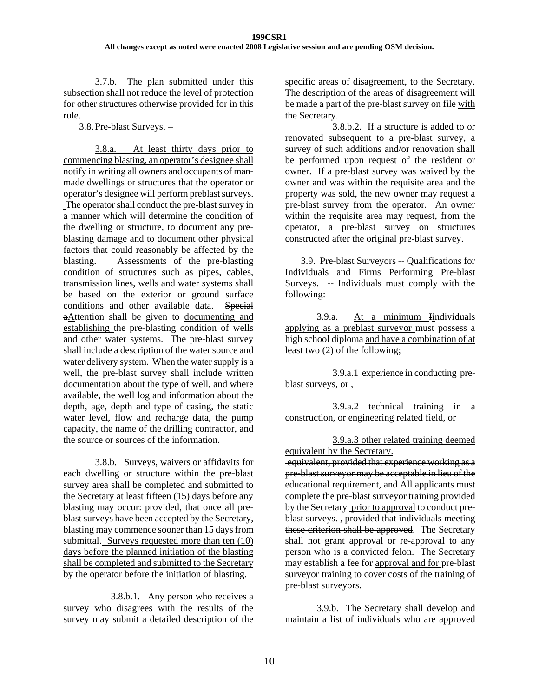3.7.b. The plan submitted under this subsection shall not reduce the level of protection for other structures otherwise provided for in this rule.

3.8.Pre-blast Surveys. –

3.8.a. At least thirty days prior to commencing blasting, an operator's designee shall notify in writing all owners and occupants of manmade dwellings or structures that the operator or operator's designee will perform preblast surveys. The operator shall conduct the pre-blast survey in a manner which will determine the condition of the dwelling or structure, to document any preblasting damage and to document other physical factors that could reasonably be affected by the blasting. Assessments of the pre-blasting condition of structures such as pipes, cables, transmission lines, wells and water systems shall be based on the exterior or ground surface conditions and other available data. Special aAttention shall be given to documenting and establishing the pre-blasting condition of wells and other water systems. The pre-blast survey shall include a description of the water source and water delivery system. When the water supply is a well, the pre-blast survey shall include written documentation about the type of well, and where available, the well log and information about the depth, age, depth and type of casing, the static water level, flow and recharge data, the pump capacity, the name of the drilling contractor, and the source or sources of the information.

3.8.b. Surveys, waivers or affidavits for each dwelling or structure within the pre-blast survey area shall be completed and submitted to the Secretary at least fifteen (15) days before any blasting may occur: provided, that once all preblast surveys have been accepted by the Secretary, blasting may commence sooner than 15 days from submittal. Surveys requested more than ten (10) days before the planned initiation of the blasting shall be completed and submitted to the Secretary by the operator before the initiation of blasting.

3.8.b.1. Any person who receives a survey who disagrees with the results of the survey may submit a detailed description of the

specific areas of disagreement, to the Secretary. The description of the areas of disagreement will be made a part of the pre-blast survey on file with the Secretary.

3.8.b.2. If a structure is added to or renovated subsequent to a pre-blast survey, a survey of such additions and/or renovation shall be performed upon request of the resident or owner. If a pre-blast survey was waived by the owner and was within the requisite area and the property was sold, the new owner may request a pre-blast survey from the operator. An owner within the requisite area may request, from the operator, a pre-blast survey on structures constructed after the original pre-blast survey.

3.9. Pre-blast Surveyors -- Qualifications for Individuals and Firms Performing Pre-blast Surveys. -- Individuals must comply with the following:

3.9.a. At a minimum Iindividuals applying as a preblast surveyor must possess a high school diploma and have a combination of at least two (2) of the following;

 3.9.a.1 experience in conducting preblast surveys, or  $\overline{ }$ ,

 3.9.a.2 technical training in a construction, or engineering related field, or

 3.9.a.3 other related training deemed equivalent by the Secretary.

equivalent, provided that experience working as a pre-blast surveyor may be acceptable in lieu of the educational requirement, and All applicants must complete the pre-blast surveyor training provided by the Secretary prior to approval to conduct preblast surveys. <del>, provided that individuals meeting</del> these criterion shall be approved. The Secretary shall not grant approval or re-approval to any person who is a convicted felon. The Secretary may establish a fee for approval and for pre-blast surveyor training to cover costs of the training of pre-blast surveyors.

3.9.b. The Secretary shall develop and maintain a list of individuals who are approved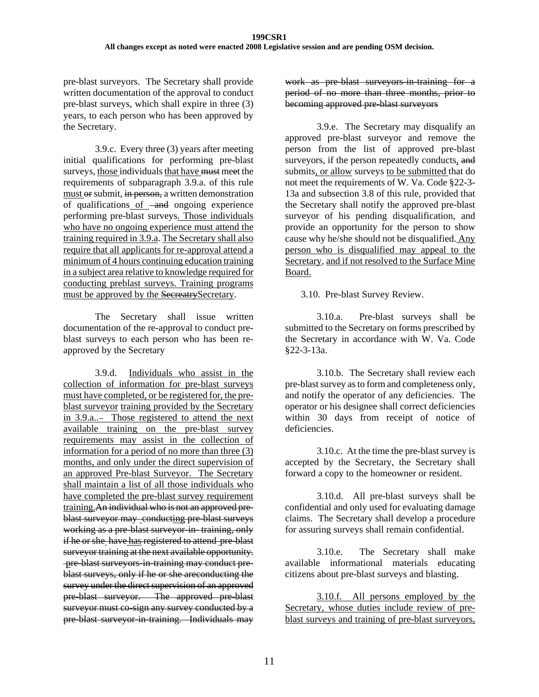pre-blast surveyors. The Secretary shall provide written documentation of the approval to conduct pre-blast surveys, which shall expire in three (3) years, to each person who has been approved by the Secretary.

3.9.c. Every three (3) years after meeting initial qualifications for performing pre-blast surveys, those individuals that have must meet the requirements of subparagraph 3.9.a. of this rule must or submit, in person, a written demonstration  $\overline{\text{of}}$  qualifications of  $\overline{\text{and}}$  ongoing experience performing pre-blast surveys. Those individuals who have no ongoing experience must attend the training required in 3.9.a. The Secretary shall also require that all applicants for re-approval attend a minimum of 4 hours continuing education training in a subject area relative to knowledge required for conducting preblast surveys. Training programs must be approved by the SecreatrySecretary.

The Secretary shall issue written documentation of the re-approval to conduct preblast surveys to each person who has been reapproved by the Secretary

3.9.d. Individuals who assist in the collection of information for pre-blast surveys must have completed, or be registered for, the preblast surveyor training provided by the Secretary in 3.9.a.. Those registered to attend the next available training on the pre-blast survey requirements may assist in the collection of information for a period of no more than three (3) months, and only under the direct supervision of an approved Pre-blast Surveyor. The Secretary shall maintain a list of all those individuals who have completed the pre-blast survey requirement training.An individual who is not an approved preblast surveyor may conducting pre-blast surveys working as a pre-blast surveyor-in-training, only if he or she have has registered to attend pre-blast surveyor training at the next available opportunity. pre-blast surveyors-in-training may conduct preblast surveys, only if he or she areconducting the survey under the direct supervision of an approved pre-blast surveyor. The approved pre-blast surveyor must co-sign any survey conducted by a pre-blast surveyor-in-training. Individuals may

work as pre-blast surveyors-in-training for a period of no more than three months, prior to becoming approved pre-blast surveyors

3.9.e. The Secretary may disqualify an approved pre-blast surveyor and remove the person from the list of approved pre-blast surveyors, if the person repeatedly conducts, and submits, or allow surveys to be submitted that do not meet the requirements of W. Va. Code §22-3- 13a and subsection 3.8 of this rule, provided that the Secretary shall notify the approved pre-blast surveyor of his pending disqualification, and provide an opportunity for the person to show cause why he/she should not be disqualified. Any person who is disqualified may appeal to the Secretary, and if not resolved to the Surface Mine Board.

3.10. Pre-blast Survey Review.

3.10.a. Pre-blast surveys shall be submitted to the Secretary on forms prescribed by the Secretary in accordance with W. Va. Code §22-3-13a.

3.10.b. The Secretary shall review each pre-blast survey as to form and completeness only, and notify the operator of any deficiencies. The operator or his designee shall correct deficiencies within 30 days from receipt of notice of deficiencies.

3.10.c. At the time the pre-blast survey is accepted by the Secretary, the Secretary shall forward a copy to the homeowner or resident.

3.10.d. All pre-blast surveys shall be confidential and only used for evaluating damage claims. The Secretary shall develop a procedure for assuring surveys shall remain confidential.

3.10.e. The Secretary shall make available informational materials educating citizens about pre-blast surveys and blasting.

3.10.f. All persons employed by the Secretary, whose duties include review of preblast surveys and training of pre-blast surveyors,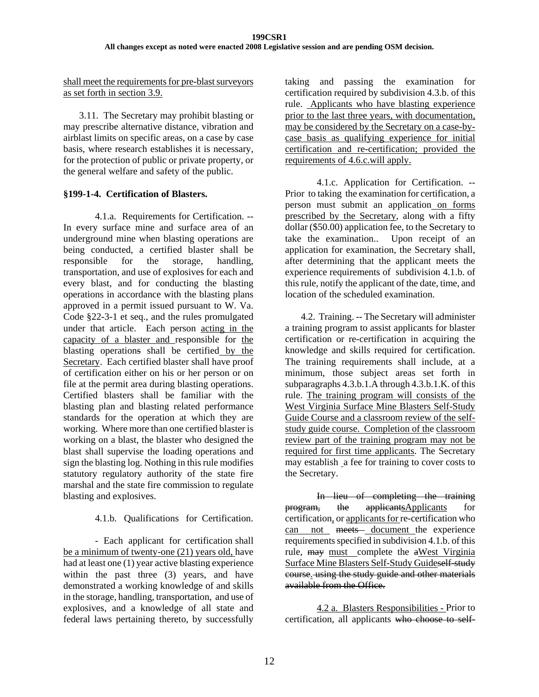shall meet the requirements for pre-blast surveyors as set forth in section 3.9.

3.11. The Secretary may prohibit blasting or may prescribe alternative distance, vibration and airblast limits on specific areas, on a case by case basis, where research establishes it is necessary, for the protection of public or private property, or the general welfare and safety of the public.

### **§199-1-4. Certification of Blasters.**

4.1.a. Requirements for Certification. -- In every surface mine and surface area of an underground mine when blasting operations are being conducted, a certified blaster shall be responsible for the storage, handling, transportation, and use of explosives for each and every blast, and for conducting the blasting operations in accordance with the blasting plans approved in a permit issued pursuant to W. Va. Code §22-3-1 et seq., and the rules promulgated under that article. Each person acting in the capacity of a blaster and responsible for the blasting operations shall be certified by the Secretary. Each certified blaster shall have proof of certification either on his or her person or on file at the permit area during blasting operations. Certified blasters shall be familiar with the blasting plan and blasting related performance standards for the operation at which they are working. Where more than one certified blaster is working on a blast, the blaster who designed the blast shall supervise the loading operations and sign the blasting log. Nothing in this rule modifies statutory regulatory authority of the state fire marshal and the state fire commission to regulate blasting and explosives.

## 4.1.b. Qualifications for Certification.

- Each applicant for certification shall be a minimum of twenty-one (21) years old, have had at least one (1) year active blasting experience within the past three (3) years, and have demonstrated a working knowledge of and skills in the storage, handling, transportation, and use of explosives, and a knowledge of all state and federal laws pertaining thereto, by successfully taking and passing the examination for certification required by subdivision 4.3.b. of this rule. Applicants who have blasting experience prior to the last three years, with documentation, may be considered by the Secretary on a case-bycase basis as qualifying experience for initial certification and re-certification; provided the requirements of 4.6.c.will apply.

4.1.c. Application for Certification. -- Prior to taking the examination for certification, a person must submit an application on forms prescribed by the Secretary, along with a fifty dollar (\$50.00) application fee, to the Secretary to take the examination.. Upon receipt of an application for examination, the Secretary shall, after determining that the applicant meets the experience requirements of subdivision 4.1.b. of this rule, notify the applicant of the date, time, and location of the scheduled examination.

4.2. Training. -- The Secretary will administer a training program to assist applicants for blaster certification or re-certification in acquiring the knowledge and skills required for certification. The training requirements shall include, at a minimum, those subject areas set forth in subparagraphs 4.3.b.1.A through 4.3.b.1.K. of this rule. The training program will consists of the West Virginia Surface Mine Blasters Self-Study Guide Course and a classroom review of the selfstudy guide course. Completion of the classroom review part of the training program may not be required for first time applicants. The Secretary may establish a fee for training to cover costs to the Secretary.

In lieu of completing the training program, the applicantsApplicants for certification, or applicants for re-certification who can not meets document the experience requirements specified in subdivision 4.1.b. of this rule, may must complete the aWest Virginia Surface Mine Blasters Self-Study Guideself-study course. using the study guide and other materials available from the Office.

4.2 a. Blasters Responsibilities - Prior to certification, all applicants who choose to self-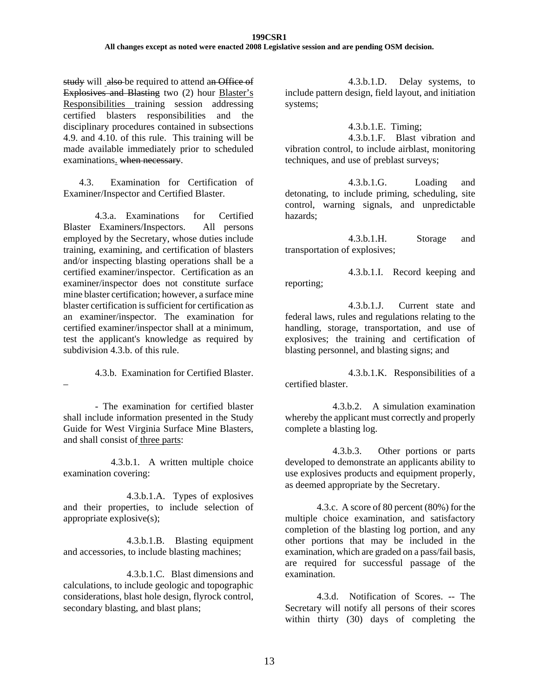#### **199CSR1 All changes except as noted were enacted 2008 Legislative session and are pending OSM decision.**

study will also be required to attend an Office of Explosives and Blasting two (2) hour Blaster's Responsibilities training session addressing certified blasters responsibilities and the disciplinary procedures contained in subsections 4.9. and 4.10. of this rule. This training will be made available immediately prior to scheduled examinations. when necessary.

4.3. Examination for Certification of Examiner/Inspector and Certified Blaster.

4.3.a. Examinations for Certified Blaster Examiners/Inspectors. All persons employed by the Secretary, whose duties include training, examining, and certification of blasters and/or inspecting blasting operations shall be a certified examiner/inspector. Certification as an examiner/inspector does not constitute surface mine blaster certification; however, a surface mine blaster certification is sufficient for certification as an examiner/inspector. The examination for certified examiner/inspector shall at a minimum, test the applicant's knowledge as required by subdivision 4.3.b. of this rule.

4.3.b. Examination for Certified Blaster.

- The examination for certified blaster shall include information presented in the Study Guide for West Virginia Surface Mine Blasters, and shall consist of three parts:

–

4.3.b.1. A written multiple choice examination covering:

4.3.b.1.A. Types of explosives and their properties, to include selection of appropriate explosive(s);

4.3.b.1.B. Blasting equipment and accessories, to include blasting machines;

4.3.b.1.C. Blast dimensions and calculations, to include geologic and topographic considerations, blast hole design, flyrock control, secondary blasting, and blast plans;

4.3.b.1.D. Delay systems, to include pattern design, field layout, and initiation systems;

4.3.b.1.E. Timing;

4.3.b.1.F. Blast vibration and vibration control, to include airblast, monitoring techniques, and use of preblast surveys;

4.3.b.1.G. Loading and detonating, to include priming, scheduling, site control, warning signals, and unpredictable hazards;

4.3.b.1.H. Storage and transportation of explosives;

4.3.b.1.I. Record keeping and reporting;

4.3.b.1.J. Current state and federal laws, rules and regulations relating to the handling, storage, transportation, and use of explosives; the training and certification of blasting personnel, and blasting signs; and

 4.3.b.1.K. Responsibilities of a certified blaster.

4.3.b.2. A simulation examination whereby the applicant must correctly and properly complete a blasting log.

4.3.b.3. Other portions or parts developed to demonstrate an applicants ability to use explosives products and equipment properly, as deemed appropriate by the Secretary.

4.3.c. A score of 80 percent (80%) for the multiple choice examination, and satisfactory completion of the blasting log portion, and any other portions that may be included in the examination, which are graded on a pass/fail basis, are required for successful passage of the examination.

4.3.d. Notification of Scores. -- The Secretary will notify all persons of their scores within thirty (30) days of completing the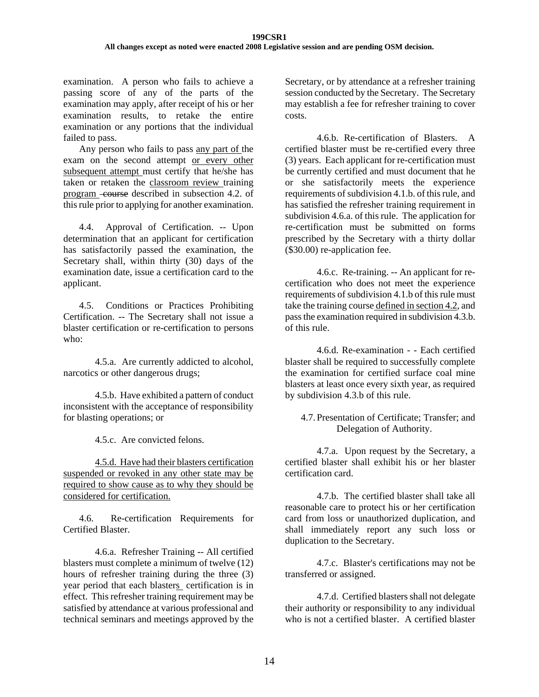examination. A person who fails to achieve a passing score of any of the parts of the examination may apply, after receipt of his or her examination results, to retake the entire examination or any portions that the individual failed to pass.

Any person who fails to pass any part of the exam on the second attempt or every other subsequent attempt must certify that he/she has taken or retaken the classroom review training program -course described in subsection 4.2. of this rule prior to applying for another examination.

4.4. Approval of Certification. -- Upon determination that an applicant for certification has satisfactorily passed the examination, the Secretary shall, within thirty (30) days of the examination date, issue a certification card to the applicant.

4.5. Conditions or Practices Prohibiting Certification. -- The Secretary shall not issue a blaster certification or re-certification to persons who:

4.5.a. Are currently addicted to alcohol, narcotics or other dangerous drugs;

4.5.b. Have exhibited a pattern of conduct inconsistent with the acceptance of responsibility for blasting operations; or

4.5.c. Are convicted felons.

4.5.d. Have had their blasters certification suspended or revoked in any other state may be required to show cause as to why they should be considered for certification.

4.6. Re-certification Requirements for Certified Blaster.

4.6.a. Refresher Training -- All certified blasters must complete a minimum of twelve (12) hours of refresher training during the three (3) year period that each blasters certification is in effect. This refresher training requirement may be satisfied by attendance at various professional and technical seminars and meetings approved by the

Secretary, or by attendance at a refresher training session conducted by the Secretary. The Secretary may establish a fee for refresher training to cover costs.

4.6.b. Re-certification of Blasters. A certified blaster must be re-certified every three (3) years. Each applicant for re-certification must be currently certified and must document that he or she satisfactorily meets the experience requirements of subdivision 4.1.b. of this rule, and has satisfied the refresher training requirement in subdivision 4.6.a. of this rule. The application for re-certification must be submitted on forms prescribed by the Secretary with a thirty dollar (\$30.00) re-application fee.

4.6.c. Re-training. -- An applicant for recertification who does not meet the experience requirements of subdivision 4.1.b of this rule must take the training course defined in section 4.2, and pass the examination required in subdivision 4.3.b. of this rule.

4.6.d. Re-examination - - Each certified blaster shall be required to successfully complete the examination for certified surface coal mine blasters at least once every sixth year, as required by subdivision 4.3.b of this rule.

### 4.7.Presentation of Certificate; Transfer; and Delegation of Authority.

4.7.a. Upon request by the Secretary, a certified blaster shall exhibit his or her blaster certification card.

4.7.b. The certified blaster shall take all reasonable care to protect his or her certification card from loss or unauthorized duplication, and shall immediately report any such loss or duplication to the Secretary.

4.7.c. Blaster's certifications may not be transferred or assigned.

4.7.d. Certified blasters shall not delegate their authority or responsibility to any individual who is not a certified blaster. A certified blaster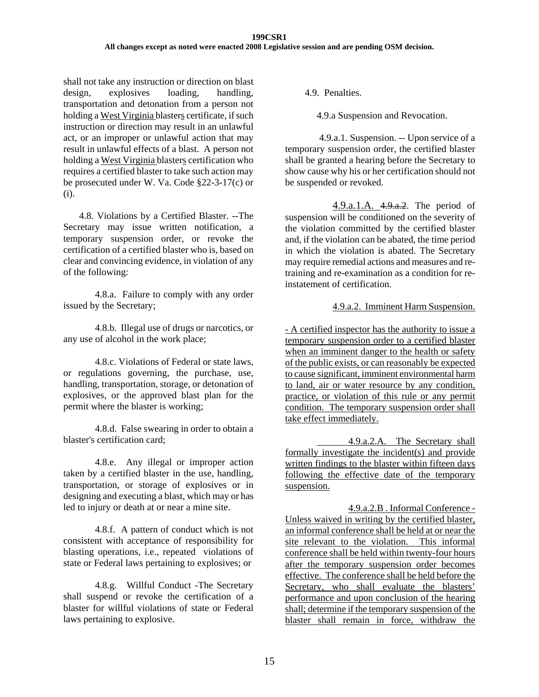shall not take any instruction or direction on blast design, explosives loading, handling, transportation and detonation from a person not holding a West Virginia blasters certificate, if such instruction or direction may result in an unlawful act, or an improper or unlawful action that may result in unlawful effects of a blast. A person not holding a West Virginia blasters certification who requires a certified blaster to take such action may be prosecuted under W. Va. Code §22-3-17(c) or (i).

4.8. Violations by a Certified Blaster. --The Secretary may issue written notification, a temporary suspension order, or revoke the certification of a certified blaster who is, based on clear and convincing evidence, in violation of any of the following:

4.8.a. Failure to comply with any order issued by the Secretary;

4.8.b. Illegal use of drugs or narcotics, or any use of alcohol in the work place;

4.8.c. Violations of Federal or state laws, or regulations governing, the purchase, use, handling, transportation, storage, or detonation of explosives, or the approved blast plan for the permit where the blaster is working;

4.8.d. False swearing in order to obtain a blaster's certification card;

4.8.e. Any illegal or improper action taken by a certified blaster in the use, handling, transportation, or storage of explosives or in designing and executing a blast, which may or has led to injury or death at or near a mine site.

4.8.f. A pattern of conduct which is not consistent with acceptance of responsibility for blasting operations, i.e., repeated violations of state or Federal laws pertaining to explosives; or

 4.8.g. Willful Conduct -The Secretary shall suspend or revoke the certification of a blaster for willful violations of state or Federal laws pertaining to explosive.

4.9. Penalties.

4.9.a Suspension and Revocation.

 4.9.a.1. Suspension. -- Upon service of a temporary suspension order, the certified blaster shall be granted a hearing before the Secretary to show cause why his or her certification should not be suspended or revoked.

4.9.a.1.A. 4.9.a.2. The period of suspension will be conditioned on the severity of the violation committed by the certified blaster and, if the violation can be abated, the time period in which the violation is abated. The Secretary may require remedial actions and measures and retraining and re-examination as a condition for reinstatement of certification.

### 4.9.a.2. Imminent Harm Suspension.

- A certified inspector has the authority to issue a temporary suspension order to a certified blaster when an imminent danger to the health or safety of the public exists, or can reasonably be expected to cause significant, imminent environmental harm to land, air or water resource by any condition, practice, or violation of this rule or any permit condition. The temporary suspension order shall take effect immediately.

 4.9.a.2.A. The Secretary shall formally investigate the incident(s) and provide written findings to the blaster within fifteen days following the effective date of the temporary suspension.

4.9.a.2.B . Informal Conference - Unless waived in writing by the certified blaster, an informal conference shall be held at or near the site relevant to the violation. This informal conference shall be held within twenty-four hours after the temporary suspension order becomes effective. The conference shall be held before the Secretary, who shall evaluate the blasters' performance and upon conclusion of the hearing shall; determine if the temporary suspension of the blaster shall remain in force, withdraw the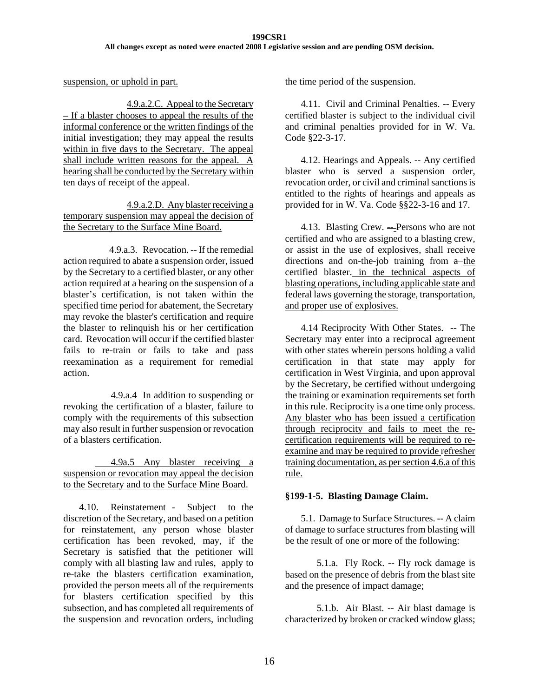suspension, or uphold in part.

 4.9.a.2.C. Appeal to the Secretary – If a blaster chooses to appeal the results of the informal conference or the written findings of the initial investigation; they may appeal the results within in five days to the Secretary. The appeal shall include written reasons for the appeal. A hearing shall be conducted by the Secretary within ten days of receipt of the appeal.

 4.9.a.2.D. Any blaster receiving a temporary suspension may appeal the decision of the Secretary to the Surface Mine Board.

 4.9.a.3. Revocation. -- If the remedial action required to abate a suspension order, issued by the Secretary to a certified blaster, or any other action required at a hearing on the suspension of a blaster's certification, is not taken within the specified time period for abatement, the Secretary may revoke the blaster's certification and require the blaster to relinquish his or her certification card. Revocation will occur if the certified blaster fails to re-train or fails to take and pass reexamination as a requirement for remedial action.

 4.9.a.4 In addition to suspending or revoking the certification of a blaster, failure to comply with the requirements of this subsection may also result in further suspension or revocation of a blasters certification.

 4.9a.5 Any blaster receiving a suspension or revocation may appeal the decision to the Secretary and to the Surface Mine Board.

 4.10. Reinstatement - Subject to the discretion of the Secretary, and based on a petition for reinstatement, any person whose blaster certification has been revoked, may, if the Secretary is satisfied that the petitioner will comply with all blasting law and rules, apply to re-take the blasters certification examination, provided the person meets all of the requirements for blasters certification specified by this subsection, and has completed all requirements of the suspension and revocation orders, including

the time period of the suspension.

 4.11. Civil and Criminal Penalties. -- Every certified blaster is subject to the individual civil and criminal penalties provided for in W. Va. Code §22-3-17.

 4.12. Hearings and Appeals. -- Any certified blaster who is served a suspension order, revocation order, or civil and criminal sanctions is entitled to the rights of hearings and appeals as provided for in W. Va. Code §§22-3-16 and 17.

4.13. Blasting Crew. -- Persons who are not certified and who are assigned to a blasting crew, or assist in the use of explosives, shall receive directions and on-the-job training from  $a$ -the certified blaster. in the technical aspects of blasting operations, including applicable state and federal laws governing the storage, transportation, and proper use of explosives.

 4.14 Reciprocity With Other States. -- The Secretary may enter into a reciprocal agreement with other states wherein persons holding a valid certification in that state may apply for certification in West Virginia, and upon approval by the Secretary, be certified without undergoing the training or examination requirements set forth in this rule. Reciprocity is a one time only process. Any blaster who has been issued a certification through reciprocity and fails to meet the recertification requirements will be required to reexamine and may be required to provide refresher training documentation, as per section 4.6.a of this rule.

#### **§199-1-5. Blasting Damage Claim.**

5.1. Damage to Surface Structures. -- A claim of damage to surface structures from blasting will be the result of one or more of the following:

5.1.a. Fly Rock. -- Fly rock damage is based on the presence of debris from the blast site and the presence of impact damage;

5.1.b. Air Blast. -- Air blast damage is characterized by broken or cracked window glass;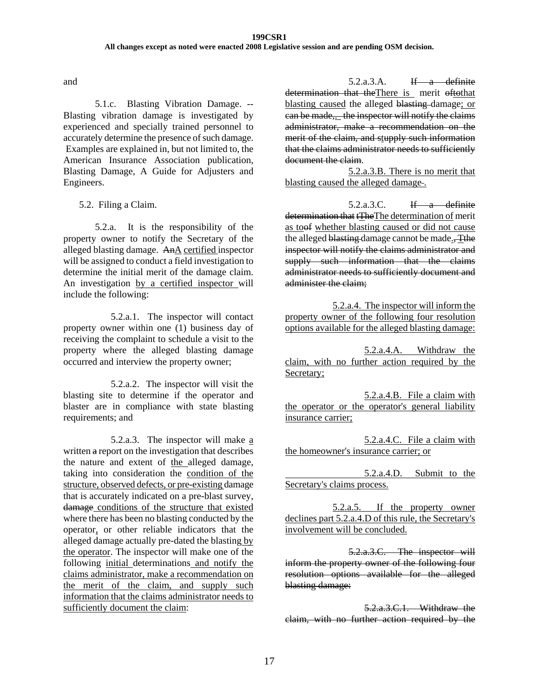and

5.1.c. Blasting Vibration Damage. -- Blasting vibration damage is investigated by experienced and specially trained personnel to accurately determine the presence of such damage. Examples are explained in, but not limited to, the American Insurance Association publication, Blasting Damage, A Guide for Adjusters and Engineers.

5.2. Filing a Claim.

5.2.a. It is the responsibility of the property owner to notify the Secretary of the alleged blasting damage. AnA certified inspector will be assigned to conduct a field investigation to determine the initial merit of the damage claim. An investigation by a certified inspector will include the following:

5.2.a.1. The inspector will contact property owner within one (1) business day of receiving the complaint to schedule a visit to the property where the alleged blasting damage occurred and interview the property owner;

5.2.a.2. The inspector will visit the blasting site to determine if the operator and blaster are in compliance with state blasting requirements; and

5.2.a.3. The inspector will make a written a report on the investigation that describes the nature and extent of the alleged damage, taking into consideration the condition of the structure, observed defects, or pre-existing damage that is accurately indicated on a pre-blast survey, damage conditions of the structure that existed where there has been no blasting conducted by the operator, or other reliable indicators that the alleged damage actually pre-dated the blasting by the operator. The inspector will make one of the following initial determinations and notify the claims administrator, make a recommendation on the merit of the claim, and supply such information that the claims administrator needs to sufficiently document the claim:

 $5.2.a.3.A.$  If a definite determination that the There is merit oftothat blasting caused the alleged blasting-damage; or can be made,. the inspector will notify the claims administrator, make a recommendation on the merit of the claim, and stupply such information that the claims administrator needs to sufficiently document the claim.

5.2.a.3.B. There is no merit that blasting caused the alleged damage .

5.2.a.3.C. If a definite determination that tTheThe determination of merit as toof whether blasting caused or did not cause the alleged blasting damage cannot be made. inspector will notify the claims administrator and supply such information that the claims administrator needs to sufficiently document and administer the claim;

5.2.a.4. The inspector will inform the property owner of the following four resolution options available for the alleged blasting damage:

5.2.a.4.A. Withdraw the claim, with no further action required by the Secretary;

5.2.a.4.B. File a claim with the operator or the operator's general liability insurance carrier;

5.2.a.4.C. File a claim with the homeowner's insurance carrier; or

 5.2.a.4.D. Submit to the Secretary's claims process.

5.2.a.5. If the property owner declines part 5.2.a.4.D of this rule, the Secretary's involvement will be concluded.

5.2.a.3.C. The inspector will inform the property owner of the following four resolution options available for the alleged blasting damage:

5.2.a.3.C.1. Withdraw the claim, with no further action required by the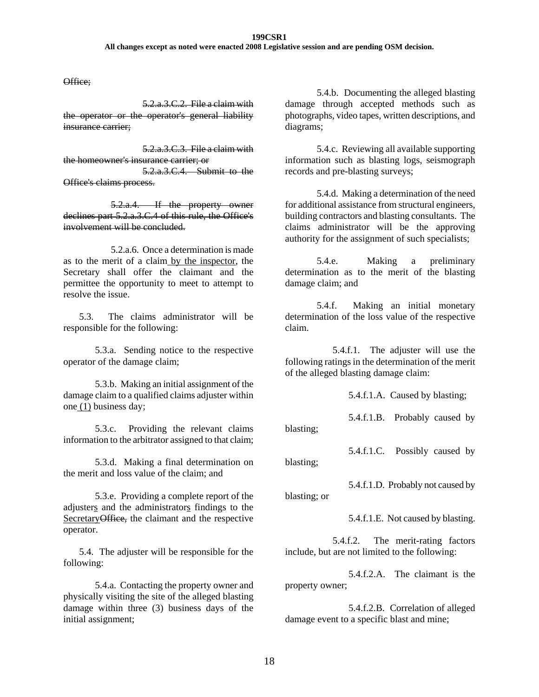Office;

5.2.a.3.C.2. File a claim with the operator or the operator's general liability insurance carrier;

5.2.a.3.C.3. File a claim with the homeowner's insurance carrier; or 5.2.a.3.C.4. Submit to the Office's claims process.

5.2.a.4. If the property owner declines part 5.2.a.3.C.4 of this rule, the Office's involvement will be concluded.

5.2.a.6. Once a determination is made as to the merit of a claim by the inspector, the Secretary shall offer the claimant and the permittee the opportunity to meet to attempt to resolve the issue.

5.3. The claims administrator will be responsible for the following:

5.3.a. Sending notice to the respective operator of the damage claim;

5.3.b. Making an initial assignment of the damage claim to a qualified claims adjuster within one (1) business day;

5.3.c. Providing the relevant claims information to the arbitrator assigned to that claim;

5.3.d. Making a final determination on the merit and loss value of the claim; and

5.3.e. Providing a complete report of the adjusters and the administrators findings to the Secretary Office, the claimant and the respective operator.

5.4. The adjuster will be responsible for the following:

5.4.a. Contacting the property owner and physically visiting the site of the alleged blasting damage within three (3) business days of the initial assignment;

5.4.b. Documenting the alleged blasting damage through accepted methods such as photographs, video tapes, written descriptions, and diagrams;

5.4.c. Reviewing all available supporting information such as blasting logs, seismograph records and pre-blasting surveys;

5.4.d. Making a determination of the need for additional assistance from structural engineers, building contractors and blasting consultants. The claims administrator will be the approving authority for the assignment of such specialists;

5.4.e. Making a preliminary determination as to the merit of the blasting damage claim; and

5.4.f. Making an initial monetary determination of the loss value of the respective claim.

5.4.f.1. The adjuster will use the following ratings in the determination of the merit of the alleged blasting damage claim:

5.4.f.1.A. Caused by blasting;

5.4.f.1.B. Probably caused by blasting;

5.4.f.1.C. Possibly caused by

blasting;

5.4.f.1.D. Probably not caused by

blasting; or

5.4.f.1.E. Not caused by blasting.

5.4.f.2. The merit-rating factors include, but are not limited to the following:

5.4.f.2.A. The claimant is the property owner;

5.4.f.2.B. Correlation of alleged damage event to a specific blast and mine;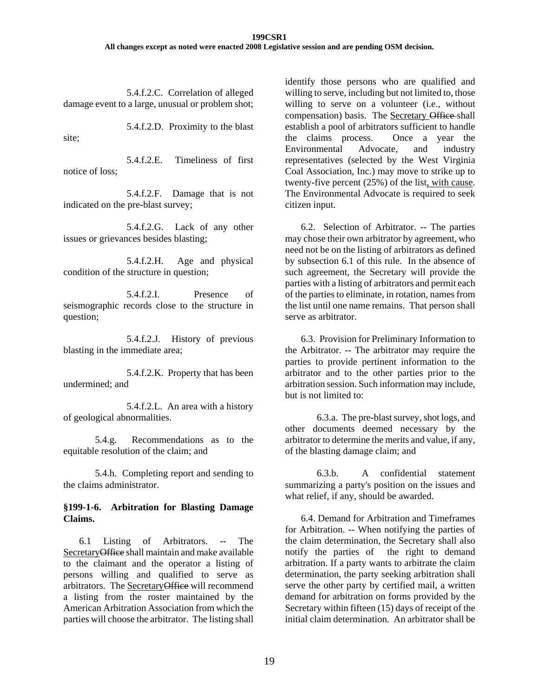5.4.f.2.C. Correlation of alleged damage event to a large, unusual or problem shot;

5.4.f.2.D. Proximity to the blast site;

5.4.f.2.E. Timeliness of first notice of loss;

5.4.f.2.F. Damage that is not indicated on the pre-blast survey;

5.4.f.2.G. Lack of any other issues or grievances besides blasting;

5.4.f.2.H. Age and physical condition of the structure in question;

5.4.f.2.I. Presence of seismographic records close to the structure in question;

5.4.f.2.J. History of previous blasting in the immediate area;

5.4.f.2.K. Property that has been undermined; and

5.4.f.2.L. An area with a history of geological abnormalities.

5.4.g. Recommendations as to the equitable resolution of the claim; and

5.4.h. Completing report and sending to the claims administrator.

### **§199-1-6. Arbitration for Blasting Damage Claims.**

 6.1 Listing of Arbitrators. -- The SecretaryOffice shall maintain and make available to the claimant and the operator a listing of persons willing and qualified to serve as arbitrators. The SecretaryOffice will recommend a listing from the roster maintained by the American Arbitration Association from which the parties will choose the arbitrator. The listing shall

identify those persons who are qualified and willing to serve, including but not limited to, those willing to serve on a volunteer (i.e., without compensation) basis. The Secretary Office-shall establish a pool of arbitrators sufficient to handle the claims process. Once a year the Environmental Advocate, and industry representatives (selected by the West Virginia Coal Association, Inc.) may move to strike up to twenty-five percent (25%) of the list, with cause. The Environmental Advocate is required to seek citizen input.

6.2. Selection of Arbitrator. -- The parties may chose their own arbitrator by agreement, who need not be on the listing of arbitrators as defined by subsection 6.1 of this rule. In the absence of such agreement, the Secretary will provide the parties with a listing of arbitrators and permit each of the parties to eliminate, in rotation, names from the list until one name remains. That person shall serve as arbitrator.

6.3. Provision for Preliminary Information to the Arbitrator. -- The arbitrator may require the parties to provide pertinent information to the arbitrator and to the other parties prior to the arbitration session. Such information may include, but is not limited to:

6.3.a. The pre-blast survey, shot logs, and other documents deemed necessary by the arbitrator to determine the merits and value, if any, of the blasting damage claim; and

6.3.b. A confidential statement summarizing a party's position on the issues and what relief, if any, should be awarded.

6.4. Demand for Arbitration and Timeframes for Arbitration. -- When notifying the parties of the claim determination, the Secretary shall also notify the parties of the right to demand arbitration. If a party wants to arbitrate the claim determination, the party seeking arbitration shall serve the other party by certified mail, a written demand for arbitration on forms provided by the Secretary within fifteen (15) days of receipt of the initial claim determination. An arbitrator shall be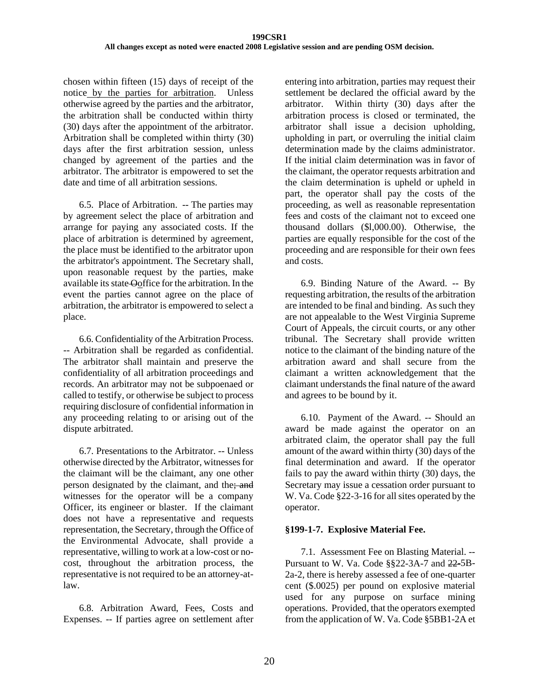chosen within fifteen (15) days of receipt of the notice by the parties for arbitration. Unless otherwise agreed by the parties and the arbitrator, the arbitration shall be conducted within thirty (30) days after the appointment of the arbitrator. Arbitration shall be completed within thirty (30) days after the first arbitration session, unless changed by agreement of the parties and the arbitrator. The arbitrator is empowered to set the date and time of all arbitration sessions.

6.5. Place of Arbitration. -- The parties may by agreement select the place of arbitration and arrange for paying any associated costs. If the place of arbitration is determined by agreement, the place must be identified to the arbitrator upon the arbitrator's appointment. The Secretary shall, upon reasonable request by the parties, make available its state Ooffice for the arbitration. In the event the parties cannot agree on the place of arbitration, the arbitrator is empowered to select a place.

6.6. Confidentiality of the Arbitration Process. -- Arbitration shall be regarded as confidential. The arbitrator shall maintain and preserve the confidentiality of all arbitration proceedings and records. An arbitrator may not be subpoenaed or called to testify, or otherwise be subject to process requiring disclosure of confidential information in any proceeding relating to or arising out of the dispute arbitrated.

6.7. Presentations to the Arbitrator. -- Unless otherwise directed by the Arbitrator, witnesses for the claimant will be the claimant, any one other person designated by the claimant, and the; and witnesses for the operator will be a company Officer, its engineer or blaster. If the claimant does not have a representative and requests representation, the Secretary, through the Office of the Environmental Advocate, shall provide a representative, willing to work at a low-cost or nocost, throughout the arbitration process, the representative is not required to be an attorney-atlaw.

6.8. Arbitration Award, Fees, Costs and Expenses. -- If parties agree on settlement after entering into arbitration, parties may request their settlement be declared the official award by the arbitrator. Within thirty (30) days after the arbitration process is closed or terminated, the arbitrator shall issue a decision upholding, upholding in part, or overruling the initial claim determination made by the claims administrator. If the initial claim determination was in favor of the claimant, the operator requests arbitration and the claim determination is upheld or upheld in part, the operator shall pay the costs of the proceeding, as well as reasonable representation fees and costs of the claimant not to exceed one thousand dollars (\$l,000.00). Otherwise, the parties are equally responsible for the cost of the proceeding and are responsible for their own fees and costs.

6.9. Binding Nature of the Award. -- By requesting arbitration, the results of the arbitration are intended to be final and binding. As such they are not appealable to the West Virginia Supreme Court of Appeals, the circuit courts, or any other tribunal. The Secretary shall provide written notice to the claimant of the binding nature of the arbitration award and shall secure from the claimant a written acknowledgement that the claimant understands the final nature of the award and agrees to be bound by it.

6.10. Payment of the Award. -- Should an award be made against the operator on an arbitrated claim, the operator shall pay the full amount of the award within thirty (30) days of the final determination and award. If the operator fails to pay the award within thirty (30) days, the Secretary may issue a cessation order pursuant to W. Va. Code §22-3-16 for all sites operated by the operator.

## **§199-1-7. Explosive Material Fee.**

7.1. Assessment Fee on Blasting Material. -- Pursuant to W. Va. Code §§22-3A-7 and 22-5B-2a-2, there is hereby assessed a fee of one-quarter cent (\$.0025) per pound on explosive material used for any purpose on surface mining operations. Provided, that the operators exempted from the application of W. Va. Code §5BB1-2A et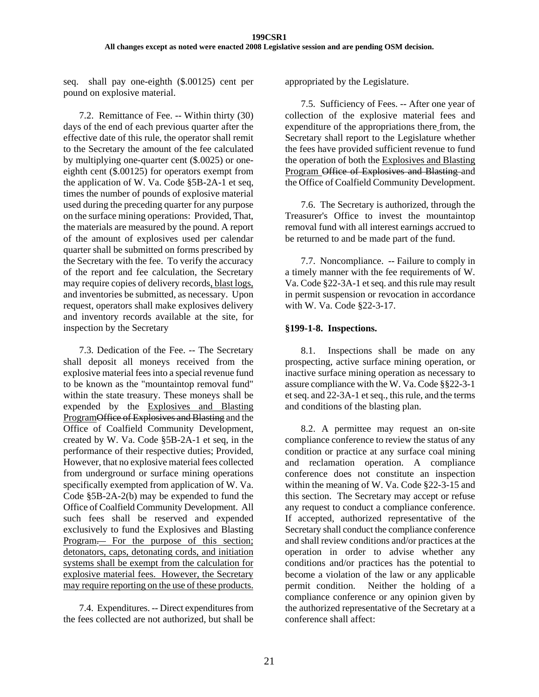seq. shall pay one-eighth (\$.00125) cent per pound on explosive material.

7.2. Remittance of Fee. -- Within thirty (30) days of the end of each previous quarter after the effective date of this rule, the operator shall remit to the Secretary the amount of the fee calculated by multiplying one-quarter cent (\$.0025) or oneeighth cent (\$.00125) for operators exempt from the application of W. Va. Code §5B-2A-1 et seq, times the number of pounds of explosive material used during the preceding quarter for any purpose on the surface mining operations: Provided, That, the materials are measured by the pound. A report of the amount of explosives used per calendar quarter shall be submitted on forms prescribed by the Secretary with the fee. To verify the accuracy of the report and fee calculation, the Secretary may require copies of delivery records, blast logs, and inventories be submitted, as necessary. Upon request, operators shall make explosives delivery and inventory records available at the site, for inspection by the Secretary

7.3. Dedication of the Fee. -- The Secretary shall deposit all moneys received from the explosive material fees into a special revenue fund to be known as the "mountaintop removal fund" within the state treasury. These moneys shall be expended by the Explosives and Blasting ProgramOffice of Explosives and Blasting and the Office of Coalfield Community Development, created by W. Va. Code §5B-2A-1 et seq, in the performance of their respective duties; Provided, However, that no explosive material fees collected from underground or surface mining operations specifically exempted from application of W. Va. Code §5B-2A-2(b) may be expended to fund the Office of Coalfield Community Development. All such fees shall be reserved and expended exclusively to fund the Explosives and Blasting Program. For the purpose of this section; detonators, caps, detonating cords, and initiation systems shall be exempt from the calculation for explosive material fees. However, the Secretary may require reporting on the use of these products.

7.4. Expenditures. -- Direct expenditures from the fees collected are not authorized, but shall be appropriated by the Legislature.

7.5. Sufficiency of Fees. -- After one year of collection of the explosive material fees and expenditure of the appropriations there from, the Secretary shall report to the Legislature whether the fees have provided sufficient revenue to fund the operation of both the Explosives and Blasting Program Office of Explosives and Blasting and the Office of Coalfield Community Development.

7.6. The Secretary is authorized, through the Treasurer's Office to invest the mountaintop removal fund with all interest earnings accrued to be returned to and be made part of the fund.

7.7. Noncompliance. -- Failure to comply in a timely manner with the fee requirements of W. Va. Code §22-3A-1 et seq. and this rule may result in permit suspension or revocation in accordance with W. Va. Code §22-3-17.

### **§199-1-8. Inspections.**

8.1. Inspections shall be made on any prospecting, active surface mining operation, or inactive surface mining operation as necessary to assure compliance with the W. Va. Code §§22-3-1 et seq. and 22-3A-1 et seq., this rule, and the terms and conditions of the blasting plan.

 8.2. A permittee may request an on-site compliance conference to review the status of any condition or practice at any surface coal mining and reclamation operation. A compliance conference does not constitute an inspection within the meaning of W. Va. Code §22-3-15 and this section. The Secretary may accept or refuse any request to conduct a compliance conference. If accepted, authorized representative of the Secretary shall conduct the compliance conference and shall review conditions and/or practices at the operation in order to advise whether any conditions and/or practices has the potential to become a violation of the law or any applicable permit condition. Neither the holding of a compliance conference or any opinion given by the authorized representative of the Secretary at a conference shall affect: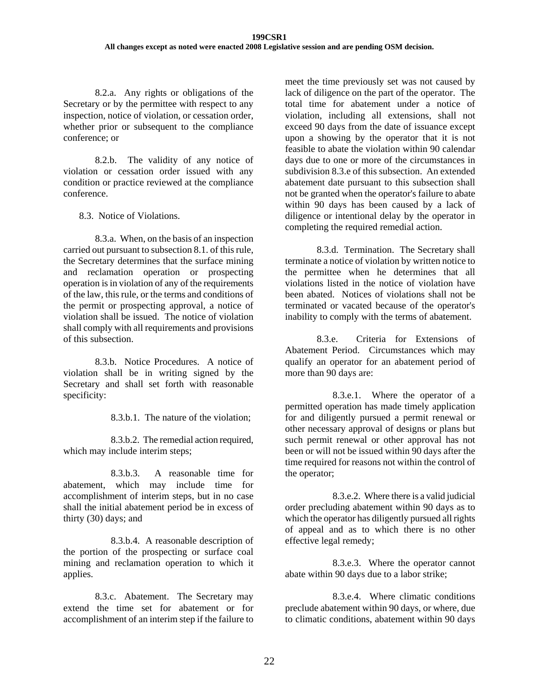8.2.a. Any rights or obligations of the Secretary or by the permittee with respect to any inspection, notice of violation, or cessation order, whether prior or subsequent to the compliance conference; or

8.2.b. The validity of any notice of violation or cessation order issued with any condition or practice reviewed at the compliance conference.

8.3. Notice of Violations.

8.3.a. When, on the basis of an inspection carried out pursuant to subsection 8.1. of this rule, the Secretary determines that the surface mining and reclamation operation or prospecting operation is in violation of any of the requirements of the law, this rule, or the terms and conditions of the permit or prospecting approval, a notice of violation shall be issued. The notice of violation shall comply with all requirements and provisions of this subsection.

8.3.b. Notice Procedures. A notice of violation shall be in writing signed by the Secretary and shall set forth with reasonable specificity:

8.3.b.1. The nature of the violation;

8.3.b.2. The remedial action required, which may include interim steps;

8.3.b.3. A reasonable time for abatement, which may include time for accomplishment of interim steps, but in no case shall the initial abatement period be in excess of thirty (30) days; and

8.3.b.4. A reasonable description of the portion of the prospecting or surface coal mining and reclamation operation to which it applies.

8.3.c. Abatement. The Secretary may extend the time set for abatement or for accomplishment of an interim step if the failure to

meet the time previously set was not caused by lack of diligence on the part of the operator. The total time for abatement under a notice of violation, including all extensions, shall not exceed 90 days from the date of issuance except upon a showing by the operator that it is not feasible to abate the violation within 90 calendar days due to one or more of the circumstances in subdivision 8.3.e of this subsection. An extended abatement date pursuant to this subsection shall not be granted when the operator's failure to abate within 90 days has been caused by a lack of diligence or intentional delay by the operator in completing the required remedial action.

8.3.d. Termination. The Secretary shall terminate a notice of violation by written notice to the permittee when he determines that all violations listed in the notice of violation have been abated. Notices of violations shall not be terminated or vacated because of the operator's inability to comply with the terms of abatement.

8.3.e. Criteria for Extensions of Abatement Period. Circumstances which may qualify an operator for an abatement period of more than 90 days are:

8.3.e.1. Where the operator of a permitted operation has made timely application for and diligently pursued a permit renewal or other necessary approval of designs or plans but such permit renewal or other approval has not been or will not be issued within 90 days after the time required for reasons not within the control of the operator;

8.3.e.2. Where there is a valid judicial order precluding abatement within 90 days as to which the operator has diligently pursued all rights of appeal and as to which there is no other effective legal remedy;

8.3.e.3. Where the operator cannot abate within 90 days due to a labor strike;

8.3.e.4. Where climatic conditions preclude abatement within 90 days, or where, due to climatic conditions, abatement within 90 days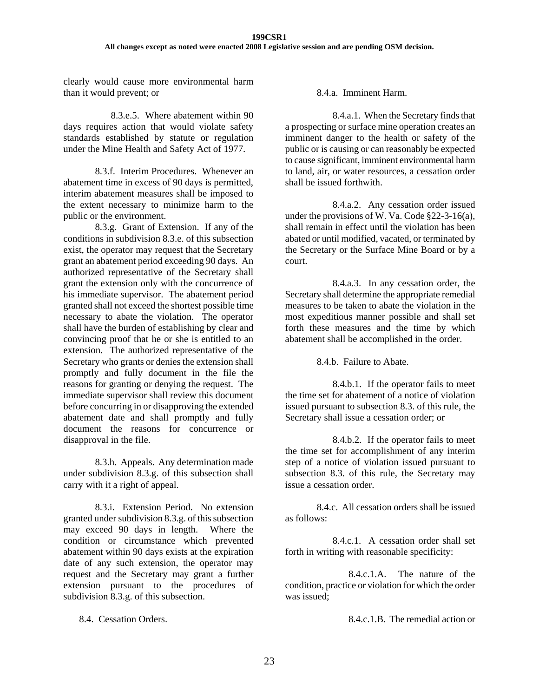clearly would cause more environmental harm than it would prevent; or

8.3.e.5. Where abatement within 90 days requires action that would violate safety standards established by statute or regulation under the Mine Health and Safety Act of 1977.

8.3.f. Interim Procedures. Whenever an abatement time in excess of 90 days is permitted, interim abatement measures shall be imposed to the extent necessary to minimize harm to the public or the environment.

8.3.g. Grant of Extension. If any of the conditions in subdivision 8.3.e. of this subsection exist, the operator may request that the Secretary grant an abatement period exceeding 90 days. An authorized representative of the Secretary shall grant the extension only with the concurrence of his immediate supervisor. The abatement period granted shall not exceed the shortest possible time necessary to abate the violation. The operator shall have the burden of establishing by clear and convincing proof that he or she is entitled to an extension. The authorized representative of the Secretary who grants or denies the extension shall promptly and fully document in the file the reasons for granting or denying the request. The immediate supervisor shall review this document before concurring in or disapproving the extended abatement date and shall promptly and fully document the reasons for concurrence or disapproval in the file.

8.3.h. Appeals. Any determination made under subdivision 8.3.g. of this subsection shall carry with it a right of appeal.

8.3.i. Extension Period. No extension granted under subdivision 8.3.g. of this subsection may exceed 90 days in length. Where the condition or circumstance which prevented abatement within 90 days exists at the expiration date of any such extension, the operator may request and the Secretary may grant a further extension pursuant to the procedures of subdivision 8.3.g. of this subsection.

8.4. Cessation Orders.

8.4.a. Imminent Harm.

8.4.a.1. When the Secretary finds that a prospecting or surface mine operation creates an imminent danger to the health or safety of the public or is causing or can reasonably be expected to cause significant, imminent environmental harm to land, air, or water resources, a cessation order shall be issued forthwith.

8.4.a.2. Any cessation order issued under the provisions of W. Va. Code §22-3-16(a), shall remain in effect until the violation has been abated or until modified, vacated, or terminated by the Secretary or the Surface Mine Board or by a court.

8.4.a.3. In any cessation order, the Secretary shall determine the appropriate remedial measures to be taken to abate the violation in the most expeditious manner possible and shall set forth these measures and the time by which abatement shall be accomplished in the order.

8.4.b. Failure to Abate.

8.4.b.1. If the operator fails to meet the time set for abatement of a notice of violation issued pursuant to subsection 8.3. of this rule, the Secretary shall issue a cessation order; or

8.4.b.2. If the operator fails to meet the time set for accomplishment of any interim step of a notice of violation issued pursuant to subsection 8.3. of this rule, the Secretary may issue a cessation order.

8.4.c. All cessation orders shall be issued as follows:

8.4.c.1. A cessation order shall set forth in writing with reasonable specificity:

8.4.c.1.A. The nature of the condition, practice or violation for which the order was issued;

8.4.c.1.B. The remedial action or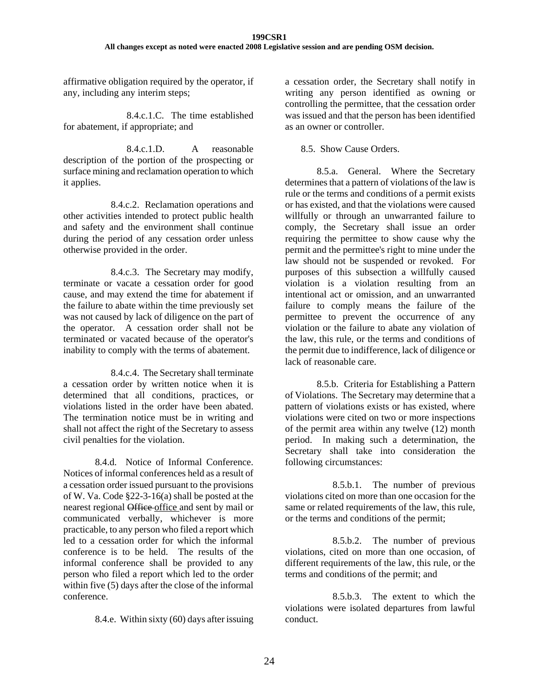affirmative obligation required by the operator, if any, including any interim steps;

8.4.c.1.C. The time established for abatement, if appropriate; and

8.4.c.1.D. A reasonable description of the portion of the prospecting or surface mining and reclamation operation to which it applies.

8.4.c.2. Reclamation operations and other activities intended to protect public health and safety and the environment shall continue during the period of any cessation order unless otherwise provided in the order.

8.4.c.3. The Secretary may modify, terminate or vacate a cessation order for good cause, and may extend the time for abatement if the failure to abate within the time previously set was not caused by lack of diligence on the part of the operator. A cessation order shall not be terminated or vacated because of the operator's inability to comply with the terms of abatement.

8.4.c.4. The Secretary shall terminate a cessation order by written notice when it is determined that all conditions, practices, or violations listed in the order have been abated. The termination notice must be in writing and shall not affect the right of the Secretary to assess civil penalties for the violation.

8.4.d. Notice of Informal Conference. Notices of informal conferences held as a result of a cessation order issued pursuant to the provisions of W. Va. Code §22-3-16(a) shall be posted at the nearest regional Office office and sent by mail or communicated verbally, whichever is more practicable, to any person who filed a report which led to a cessation order for which the informal conference is to be held. The results of the informal conference shall be provided to any person who filed a report which led to the order within five (5) days after the close of the informal conference.

8.4.e. Within sixty (60) days after issuing

a cessation order, the Secretary shall notify in writing any person identified as owning or controlling the permittee, that the cessation order was issued and that the person has been identified as an owner or controller.

#### 8.5. Show Cause Orders.

8.5.a. General. Where the Secretary determines that a pattern of violations of the law is rule or the terms and conditions of a permit exists or has existed, and that the violations were caused willfully or through an unwarranted failure to comply, the Secretary shall issue an order requiring the permittee to show cause why the permit and the permittee's right to mine under the law should not be suspended or revoked. For purposes of this subsection a willfully caused violation is a violation resulting from an intentional act or omission, and an unwarranted failure to comply means the failure of the permittee to prevent the occurrence of any violation or the failure to abate any violation of the law, this rule, or the terms and conditions of the permit due to indifference, lack of diligence or lack of reasonable care.

8.5.b. Criteria for Establishing a Pattern of Violations. The Secretary may determine that a pattern of violations exists or has existed, where violations were cited on two or more inspections of the permit area within any twelve (12) month period. In making such a determination, the Secretary shall take into consideration the following circumstances:

8.5.b.1. The number of previous violations cited on more than one occasion for the same or related requirements of the law, this rule, or the terms and conditions of the permit;

8.5.b.2. The number of previous violations, cited on more than one occasion, of different requirements of the law, this rule, or the terms and conditions of the permit; and

8.5.b.3. The extent to which the violations were isolated departures from lawful conduct.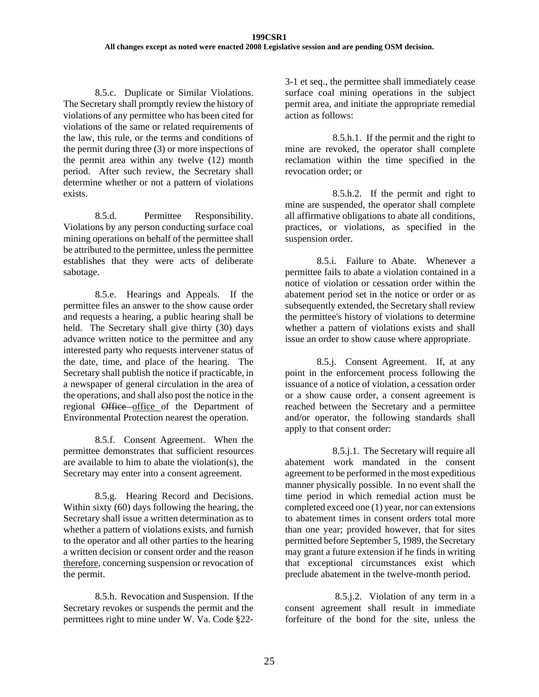8.5.c. Duplicate or Similar Violations. The Secretary shall promptly review the history of violations of any permittee who has been cited for violations of the same or related requirements of the law, this rule, or the terms and conditions of the permit during three (3) or more inspections of the permit area within any twelve (12) month period. After such review, the Secretary shall determine whether or not a pattern of violations exists.

8.5.d. Permittee Responsibility. Violations by any person conducting surface coal mining operations on behalf of the permittee shall be attributed to the permittee, unless the permittee establishes that they were acts of deliberate sabotage.

8.5.e. Hearings and Appeals. If the permittee files an answer to the show cause order and requests a hearing, a public hearing shall be held. The Secretary shall give thirty (30) days advance written notice to the permittee and any interested party who requests intervener status of the date, time, and place of the hearing. The Secretary shall publish the notice if practicable, in a newspaper of general circulation in the area of the operations, and shall also post the notice in the regional Office office of the Department of Environmental Protection nearest the operation.

8.5.f. Consent Agreement. When the permittee demonstrates that sufficient resources are available to him to abate the violation(s), the Secretary may enter into a consent agreement.

8.5.g. Hearing Record and Decisions. Within sixty (60) days following the hearing, the Secretary shall issue a written determination as to whether a pattern of violations exists, and furnish to the operator and all other parties to the hearing a written decision or consent order and the reason therefore, concerning suspension or revocation of the permit.

8.5.h. Revocation and Suspension. If the Secretary revokes or suspends the permit and the permittees right to mine under W. Va. Code §223-1 et seq., the permittee shall immediately cease surface coal mining operations in the subject permit area, and initiate the appropriate remedial action as follows:

8.5.h.1. If the permit and the right to mine are revoked, the operator shall complete reclamation within the time specified in the revocation order; or

8.5.h.2. If the permit and right to mine are suspended, the operator shall complete all affirmative obligations to abate all conditions, practices, or violations, as specified in the suspension order.

8.5.i. Failure to Abate. Whenever a permittee fails to abate a violation contained in a notice of violation or cessation order within the abatement period set in the notice or order or as subsequently extended, the Secretary shall review the permittee's history of violations to determine whether a pattern of violations exists and shall issue an order to show cause where appropriate.

8.5.j. Consent Agreement. If, at any point in the enforcement process following the issuance of a notice of violation, a cessation order or a show cause order, a consent agreement is reached between the Secretary and a permittee and/or operator, the following standards shall apply to that consent order:

8.5.j.1. The Secretary will require all abatement work mandated in the consent agreement to be performed in the most expeditious manner physically possible. In no event shall the time period in which remedial action must be completed exceed one (1) year, nor can extensions to abatement times in consent orders total more than one year; provided however, that for sites permitted before September 5, 1989, the Secretary may grant a future extension if he finds in writing that exceptional circumstances exist which preclude abatement in the twelve-month period.

 8.5.j.2. Violation of any term in a consent agreement shall result in immediate forfeiture of the bond for the site, unless the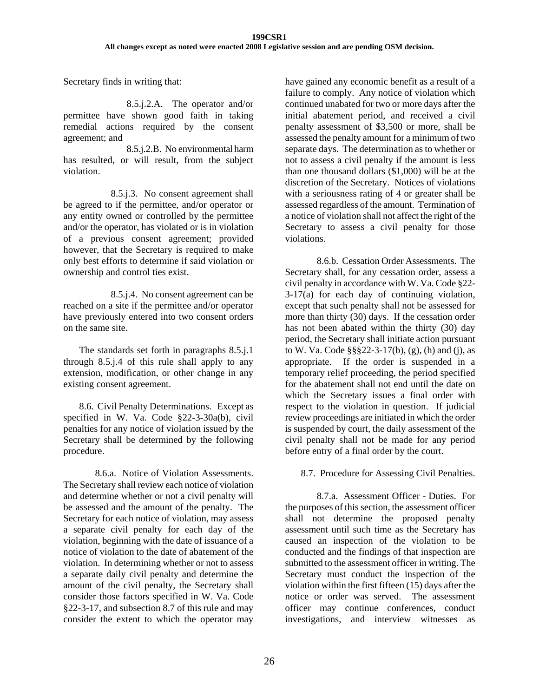Secretary finds in writing that:

8.5.j.2.A. The operator and/or permittee have shown good faith in taking remedial actions required by the consent agreement; and

8.5.j.2.B. No environmental harm has resulted, or will result, from the subject violation.

8.5.j.3. No consent agreement shall be agreed to if the permittee, and/or operator or any entity owned or controlled by the permittee and/or the operator, has violated or is in violation of a previous consent agreement; provided however, that the Secretary is required to make only best efforts to determine if said violation or ownership and control ties exist.

8.5.j.4. No consent agreement can be reached on a site if the permittee and/or operator have previously entered into two consent orders on the same site.

The standards set forth in paragraphs 8.5.j.1 through 8.5.j.4 of this rule shall apply to any extension, modification, or other change in any existing consent agreement.

8.6. Civil Penalty Determinations. Except as specified in W. Va. Code §22-3-30a(b), civil penalties for any notice of violation issued by the Secretary shall be determined by the following procedure.

8.6.a. Notice of Violation Assessments. The Secretary shall review each notice of violation and determine whether or not a civil penalty will be assessed and the amount of the penalty. The Secretary for each notice of violation, may assess a separate civil penalty for each day of the violation, beginning with the date of issuance of a notice of violation to the date of abatement of the violation. In determining whether or not to assess a separate daily civil penalty and determine the amount of the civil penalty, the Secretary shall consider those factors specified in W. Va. Code §22-3-17, and subsection 8.7 of this rule and may consider the extent to which the operator may have gained any economic benefit as a result of a failure to comply. Any notice of violation which continued unabated for two or more days after the initial abatement period, and received a civil penalty assessment of \$3,500 or more, shall be assessed the penalty amount for a minimum of two separate days. The determination as to whether or not to assess a civil penalty if the amount is less than one thousand dollars (\$1,000) will be at the discretion of the Secretary. Notices of violations with a seriousness rating of 4 or greater shall be assessed regardless of the amount. Termination of a notice of violation shall not affect the right of the Secretary to assess a civil penalty for those violations.

8.6.b. Cessation Order Assessments. The Secretary shall, for any cessation order, assess a civil penalty in accordance with W. Va. Code §22- 3-17(a) for each day of continuing violation, except that such penalty shall not be assessed for more than thirty (30) days. If the cessation order has not been abated within the thirty (30) day period, the Secretary shall initiate action pursuant to W. Va. Code §§§22-3-17(b), (g), (h) and (j), as appropriate. If the order is suspended in a temporary relief proceeding, the period specified for the abatement shall not end until the date on which the Secretary issues a final order with respect to the violation in question. If judicial review proceedings are initiated in which the order is suspended by court, the daily assessment of the civil penalty shall not be made for any period before entry of a final order by the court.

## 8.7. Procedure for Assessing Civil Penalties.

8.7.a. Assessment Officer - Duties. For the purposes of this section, the assessment officer shall not determine the proposed penalty assessment until such time as the Secretary has caused an inspection of the violation to be conducted and the findings of that inspection are submitted to the assessment officer in writing. The Secretary must conduct the inspection of the violation within the first fifteen (15) days after the notice or order was served. The assessment officer may continue conferences, conduct investigations, and interview witnesses as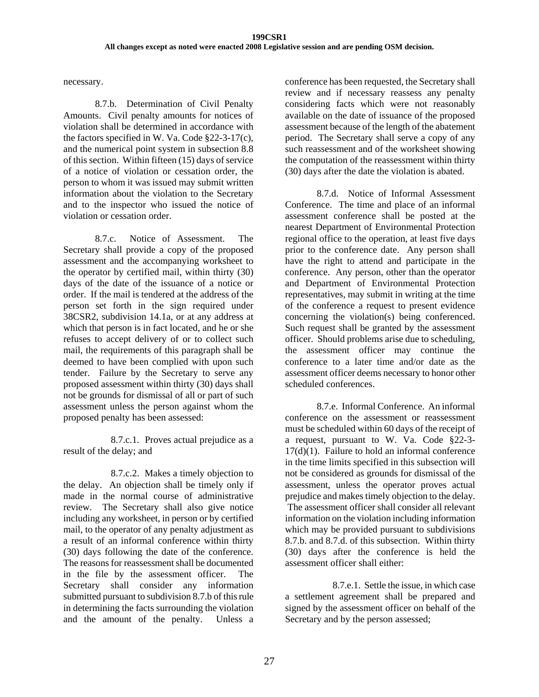necessary.

8.7.b. Determination of Civil Penalty Amounts. Civil penalty amounts for notices of violation shall be determined in accordance with the factors specified in W. Va. Code §22-3-17(c), and the numerical point system in subsection 8.8 of this section. Within fifteen (15) days of service of a notice of violation or cessation order, the person to whom it was issued may submit written information about the violation to the Secretary and to the inspector who issued the notice of violation or cessation order.

8.7.c. Notice of Assessment. The Secretary shall provide a copy of the proposed assessment and the accompanying worksheet to the operator by certified mail, within thirty (30) days of the date of the issuance of a notice or order. If the mail is tendered at the address of the person set forth in the sign required under 38CSR2, subdivision 14.1a, or at any address at which that person is in fact located, and he or she refuses to accept delivery of or to collect such mail, the requirements of this paragraph shall be deemed to have been complied with upon such tender. Failure by the Secretary to serve any proposed assessment within thirty (30) days shall not be grounds for dismissal of all or part of such assessment unless the person against whom the proposed penalty has been assessed:

8.7.c.1. Proves actual prejudice as a result of the delay; and

8.7.c.2. Makes a timely objection to the delay. An objection shall be timely only if made in the normal course of administrative review. The Secretary shall also give notice including any worksheet, in person or by certified mail, to the operator of any penalty adjustment as a result of an informal conference within thirty (30) days following the date of the conference. The reasons for reassessment shall be documented in the file by the assessment officer. The Secretary shall consider any information submitted pursuant to subdivision 8.7.b of this rule in determining the facts surrounding the violation and the amount of the penalty. Unless a

conference has been requested, the Secretary shall review and if necessary reassess any penalty considering facts which were not reasonably available on the date of issuance of the proposed assessment because of the length of the abatement period. The Secretary shall serve a copy of any such reassessment and of the worksheet showing the computation of the reassessment within thirty (30) days after the date the violation is abated.

8.7.d. Notice of Informal Assessment Conference. The time and place of an informal assessment conference shall be posted at the nearest Department of Environmental Protection regional office to the operation, at least five days prior to the conference date. Any person shall have the right to attend and participate in the conference. Any person, other than the operator and Department of Environmental Protection representatives, may submit in writing at the time of the conference a request to present evidence concerning the violation(s) being conferenced. Such request shall be granted by the assessment officer. Should problems arise due to scheduling, the assessment officer may continue the conference to a later time and/or date as the assessment officer deems necessary to honor other scheduled conferences.

8.7.e. Informal Conference. An informal conference on the assessment or reassessment must be scheduled within 60 days of the receipt of a request, pursuant to W. Va. Code §22-3-  $17(d)(1)$ . Failure to hold an informal conference in the time limits specified in this subsection will not be considered as grounds for dismissal of the assessment, unless the operator proves actual prejudice and makes timely objection to the delay. The assessment officer shall consider all relevant information on the violation including information which may be provided pursuant to subdivisions 8.7.b. and 8.7.d. of this subsection. Within thirty (30) days after the conference is held the assessment officer shall either:

8.7.e.1. Settle the issue, in which case a settlement agreement shall be prepared and signed by the assessment officer on behalf of the Secretary and by the person assessed;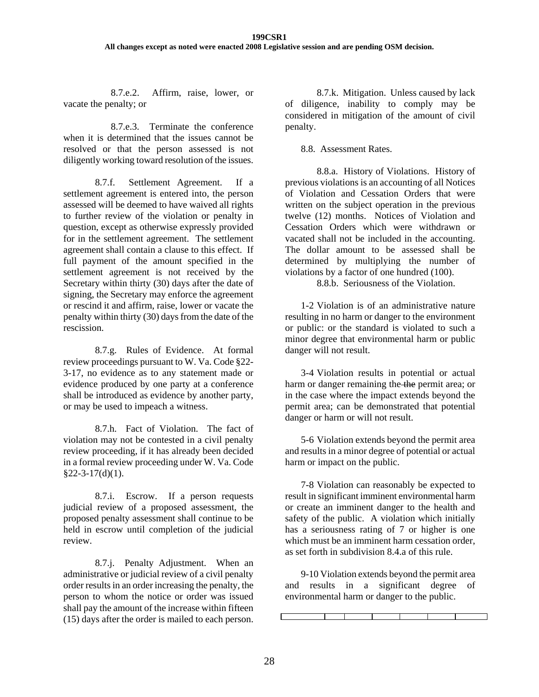8.7.e.2. Affirm, raise, lower, or vacate the penalty; or

8.7.e.3. Terminate the conference when it is determined that the issues cannot be resolved or that the person assessed is not diligently working toward resolution of the issues.

8.7.f. Settlement Agreement. If a settlement agreement is entered into, the person assessed will be deemed to have waived all rights to further review of the violation or penalty in question, except as otherwise expressly provided for in the settlement agreement. The settlement agreement shall contain a clause to this effect. If full payment of the amount specified in the settlement agreement is not received by the Secretary within thirty (30) days after the date of signing, the Secretary may enforce the agreement or rescind it and affirm, raise, lower or vacate the penalty within thirty (30) days from the date of the rescission.

8.7.g. Rules of Evidence. At formal review proceedings pursuant to W. Va. Code §22- 3-17, no evidence as to any statement made or evidence produced by one party at a conference shall be introduced as evidence by another party, or may be used to impeach a witness.

8.7.h. Fact of Violation. The fact of violation may not be contested in a civil penalty review proceeding, if it has already been decided in a formal review proceeding under W. Va. Code  $§22-3-17(d)(1).$ 

8.7.i. Escrow. If a person requests judicial review of a proposed assessment, the proposed penalty assessment shall continue to be held in escrow until completion of the judicial review.

8.7.j. Penalty Adjustment. When an administrative or judicial review of a civil penalty order results in an order increasing the penalty, the person to whom the notice or order was issued shall pay the amount of the increase within fifteen (15) days after the order is mailed to each person.

8.7.k. Mitigation. Unless caused by lack of diligence, inability to comply may be considered in mitigation of the amount of civil penalty.

8.8. Assessment Rates.

8.8.a. History of Violations. History of previous violations is an accounting of all Notices of Violation and Cessation Orders that were written on the subject operation in the previous twelve (12) months. Notices of Violation and Cessation Orders which were withdrawn or vacated shall not be included in the accounting. The dollar amount to be assessed shall be determined by multiplying the number of violations by a factor of one hundred (100).

8.8.b. Seriousness of the Violation.

1-2 Violation is of an administrative nature resulting in no harm or danger to the environment or public: or the standard is violated to such a minor degree that environmental harm or public danger will not result.

3-4 Violation results in potential or actual harm or danger remaining the the permit area; or in the case where the impact extends beyond the permit area; can be demonstrated that potential danger or harm or will not result.

5-6 Violation extends beyond the permit area and results in a minor degree of potential or actual harm or impact on the public.

7-8 Violation can reasonably be expected to result in significant imminent environmental harm or create an imminent danger to the health and safety of the public. A violation which initially has a seriousness rating of 7 or higher is one which must be an imminent harm cessation order. as set forth in subdivision 8.4.a of this rule.

9-10 Violation extends beyond the permit area and results in a significant degree of environmental harm or danger to the public.

I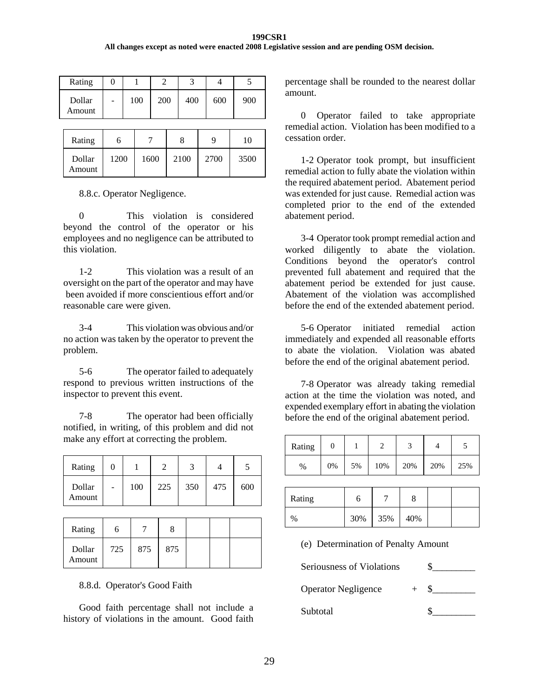#### **199CSR1 All changes except as noted were enacted 2008 Legislative session and are pending OSM decision.**

| 100<br>200<br>400<br>900<br>Dollar<br>600 | Rating |  |  |  |
|-------------------------------------------|--------|--|--|--|
|                                           | Amount |  |  |  |

| Rating           |      |      |      | q    | 10   |
|------------------|------|------|------|------|------|
| Dollar<br>Amount | 1200 | 1600 | 2100 | 2700 | 3500 |

8.8.c. Operator Negligence.

0 This violation is considered beyond the control of the operator or his employees and no negligence can be attributed to this violation.

1-2 This violation was a result of an oversight on the part of the operator and may have been avoided if more conscientious effort and/or reasonable care were given.

3-4 This violation was obvious and/or no action was taken by the operator to prevent the problem.

5-6 The operator failed to adequately respond to previous written instructions of the inspector to prevent this event.

7-8 The operator had been officially notified, in writing, of this problem and did not make any effort at correcting the problem.

| Rating           |   |     |     |     |     |     |
|------------------|---|-----|-----|-----|-----|-----|
| Dollar<br>Amount | - | 100 | 225 | 350 | 475 | 600 |

| Rating           |     |     |     |  |  |
|------------------|-----|-----|-----|--|--|
| Dollar<br>Amount | 725 | 875 | 875 |  |  |

#### 8.8.d. Operator's Good Faith

Good faith percentage shall not include a history of violations in the amount. Good faith

percentage shall be rounded to the nearest dollar amount.

0 Operator failed to take appropriate remedial action. Violation has been modified to a cessation order.

1-2 Operator took prompt, but insufficient remedial action to fully abate the violation within the required abatement period. Abatement period was extended for just cause. Remedial action was completed prior to the end of the extended abatement period.

3-4 Operator took prompt remedial action and worked diligently to abate the violation. Conditions beyond the operator's control prevented full abatement and required that the abatement period be extended for just cause. Abatement of the violation was accomplished before the end of the extended abatement period.

5-6 Operator initiated remedial action immediately and expended all reasonable efforts to abate the violation. Violation was abated before the end of the original abatement period.

7-8 Operator was already taking remedial action at the time the violation was noted, and expended exemplary effort in abating the violation before the end of the original abatement period.

| Rating |    |    |     |     |     |     |
|--------|----|----|-----|-----|-----|-----|
| $\%$   | 0% | 5% | 10% | 20% | 20% | 25% |

| Rating |     |     |     |  |
|--------|-----|-----|-----|--|
| $\%$   | 30% | 35% | 40% |  |

(e) Determination of Penalty Amount

Seriousness of Violations  $\qquad$  \$ Operator Negligence + \$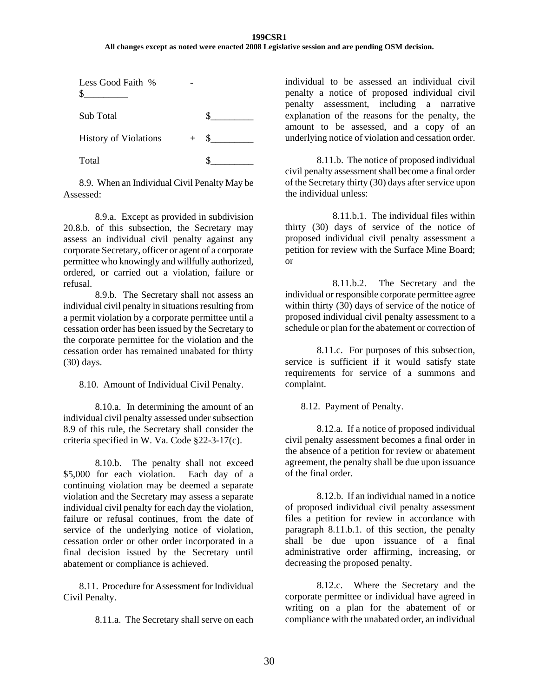#### **199CSR1 All changes except as noted were enacted 2008 Legislative session and are pending OSM decision.**

| Less Good Faith %            |     |  |
|------------------------------|-----|--|
| Sub Total                    |     |  |
| <b>History of Violations</b> | $+$ |  |
| Total                        |     |  |

8.9. When an Individual Civil Penalty May be Assessed:

8.9.a. Except as provided in subdivision 20.8.b. of this subsection, the Secretary may assess an individual civil penalty against any corporate Secretary, officer or agent of a corporate permittee who knowingly and willfully authorized, ordered, or carried out a violation, failure or refusal.

8.9.b. The Secretary shall not assess an individual civil penalty in situations resulting from a permit violation by a corporate permittee until a cessation order has been issued by the Secretary to the corporate permittee for the violation and the cessation order has remained unabated for thirty (30) days.

8.10. Amount of Individual Civil Penalty.

8.10.a. In determining the amount of an individual civil penalty assessed under subsection 8.9 of this rule, the Secretary shall consider the criteria specified in W. Va. Code §22-3-17(c).

8.10.b. The penalty shall not exceed \$5,000 for each violation. Each day of a continuing violation may be deemed a separate violation and the Secretary may assess a separate individual civil penalty for each day the violation, failure or refusal continues, from the date of service of the underlying notice of violation, cessation order or other order incorporated in a final decision issued by the Secretary until abatement or compliance is achieved.

8.11. Procedure for Assessment for Individual Civil Penalty.

8.11.a. The Secretary shall serve on each

individual to be assessed an individual civil penalty a notice of proposed individual civil penalty assessment, including a narrative explanation of the reasons for the penalty, the amount to be assessed, and a copy of an underlying notice of violation and cessation order.

8.11.b. The notice of proposed individual civil penalty assessment shall become a final order of the Secretary thirty (30) days after service upon the individual unless:

8.11.b.1. The individual files within thirty (30) days of service of the notice of proposed individual civil penalty assessment a petition for review with the Surface Mine Board; or

8.11.b.2. The Secretary and the individual or responsible corporate permittee agree within thirty (30) days of service of the notice of proposed individual civil penalty assessment to a schedule or plan for the abatement or correction of

8.11.c. For purposes of this subsection, service is sufficient if it would satisfy state requirements for service of a summons and complaint.

8.12. Payment of Penalty.

8.12.a. If a notice of proposed individual civil penalty assessment becomes a final order in the absence of a petition for review or abatement agreement, the penalty shall be due upon issuance of the final order.

8.12.b. If an individual named in a notice of proposed individual civil penalty assessment files a petition for review in accordance with paragraph 8.11.b.1. of this section, the penalty shall be due upon issuance of a final administrative order affirming, increasing, or decreasing the proposed penalty.

8.12.c. Where the Secretary and the corporate permittee or individual have agreed in writing on a plan for the abatement of or compliance with the unabated order, an individual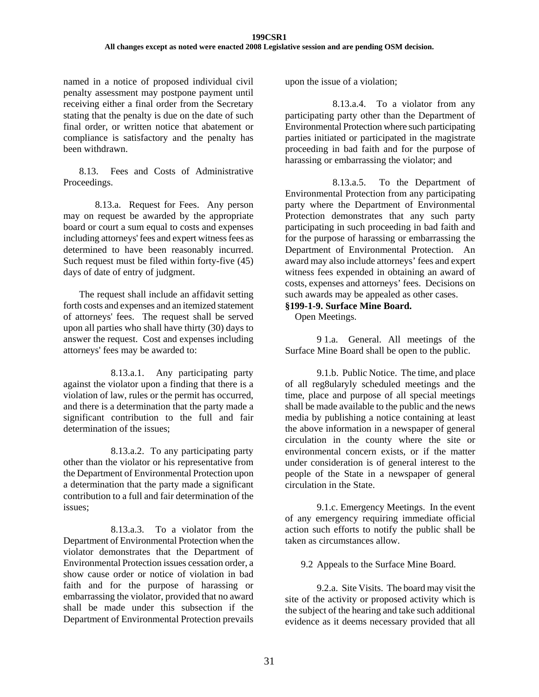named in a notice of proposed individual civil penalty assessment may postpone payment until receiving either a final order from the Secretary stating that the penalty is due on the date of such final order, or written notice that abatement or compliance is satisfactory and the penalty has been withdrawn.

8.13. Fees and Costs of Administrative Proceedings.

8.13.a. Request for Fees. Any person may on request be awarded by the appropriate board or court a sum equal to costs and expenses including attorneys' fees and expert witness fees as determined to have been reasonably incurred. Such request must be filed within forty-five (45) days of date of entry of judgment.

The request shall include an affidavit setting forth costs and expenses and an itemized statement of attorneys' fees. The request shall be served upon all parties who shall have thirty (30) days to answer the request. Cost and expenses including attorneys' fees may be awarded to:

8.13.a.1. Any participating party against the violator upon a finding that there is a violation of law, rules or the permit has occurred, and there is a determination that the party made a significant contribution to the full and fair determination of the issues:

8.13.a.2. To any participating party other than the violator or his representative from the Department of Environmental Protection upon a determination that the party made a significant contribution to a full and fair determination of the issues;

8.13.a.3. To a violator from the Department of Environmental Protection when the violator demonstrates that the Department of Environmental Protection issues cessation order, a show cause order or notice of violation in bad faith and for the purpose of harassing or embarrassing the violator, provided that no award shall be made under this subsection if the Department of Environmental Protection prevails

upon the issue of a violation;

8.13.a.4. To a violator from any participating party other than the Department of Environmental Protection where such participating parties initiated or participated in the magistrate proceeding in bad faith and for the purpose of harassing or embarrassing the violator; and

8.13.a.5. To the Department of Environmental Protection from any participating party where the Department of Environmental Protection demonstrates that any such party participating in such proceeding in bad faith and for the purpose of harassing or embarrassing the Department of Environmental Protection. An award may also include attorneys' fees and expert witness fees expended in obtaining an award of costs, expenses and attorneys' fees. Decisions on such awards may be appealed as other cases.

# **§199-1-9. Surface Mine Board.**

Open Meetings.

 9 1.a. General. All meetings of the Surface Mine Board shall be open to the public.

 9.1.b. Public Notice. The time, and place of all reg8ularyly scheduled meetings and the time, place and purpose of all special meetings shall be made available to the public and the news media by publishing a notice containing at least the above information in a newspaper of general circulation in the county where the site or environmental concern exists, or if the matter under consideration is of general interest to the people of the State in a newspaper of general circulation in the State.

 9.1.c. Emergency Meetings. In the event of any emergency requiring immediate official action such efforts to notify the public shall be taken as circumstances allow.

9.2 Appeals to the Surface Mine Board.

 9.2.a. Site Visits. The board may visit the site of the activity or proposed activity which is the subject of the hearing and take such additional evidence as it deems necessary provided that all